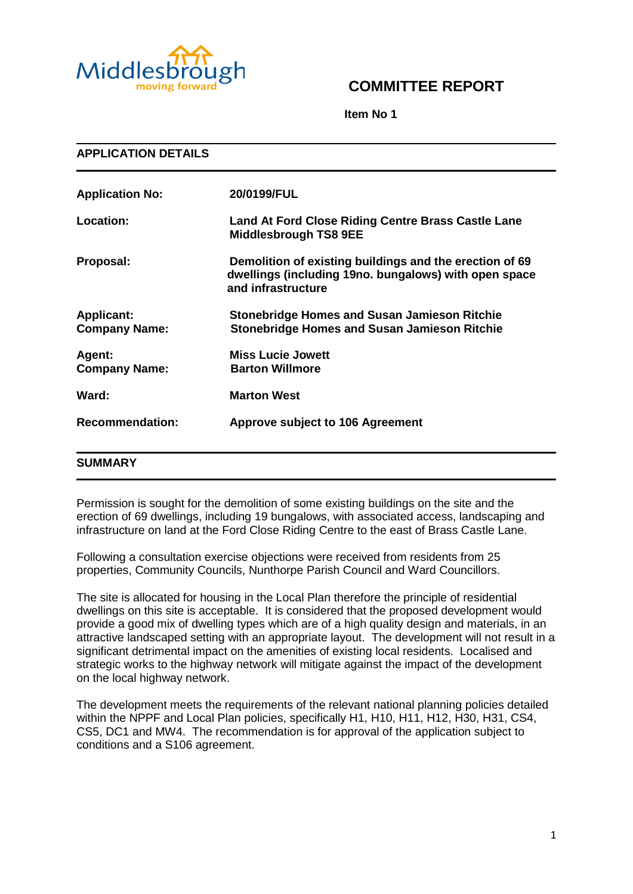

# **COMMITTEE REPORT**

**Item No 1**

| <b>APPLICATION DETAILS</b>                |                                                                                                                                        |  |
|-------------------------------------------|----------------------------------------------------------------------------------------------------------------------------------------|--|
| <b>Application No:</b>                    | 20/0199/FUL                                                                                                                            |  |
| Location:                                 | Land At Ford Close Riding Centre Brass Castle Lane<br><b>Middlesbrough TS8 9EE</b>                                                     |  |
| Proposal:                                 | Demolition of existing buildings and the erection of 69<br>dwellings (including 19no. bungalows) with open space<br>and infrastructure |  |
| <b>Applicant:</b><br><b>Company Name:</b> | <b>Stonebridge Homes and Susan Jamieson Ritchie</b><br><b>Stonebridge Homes and Susan Jamieson Ritchie</b>                             |  |
| Agent:<br><b>Company Name:</b>            | <b>Miss Lucie Jowett</b><br><b>Barton Willmore</b>                                                                                     |  |
| Ward:                                     | <b>Marton West</b>                                                                                                                     |  |
| <b>Recommendation:</b>                    | <b>Approve subject to 106 Agreement</b>                                                                                                |  |
| <b>SUMMARY</b>                            |                                                                                                                                        |  |

Permission is sought for the demolition of some existing buildings on the site and the erection of 69 dwellings, including 19 bungalows, with associated access, landscaping and infrastructure on land at the Ford Close Riding Centre to the east of Brass Castle Lane.

Following a consultation exercise objections were received from residents from 25 properties, Community Councils, Nunthorpe Parish Council and Ward Councillors.

The site is allocated for housing in the Local Plan therefore the principle of residential dwellings on this site is acceptable. It is considered that the proposed development would provide a good mix of dwelling types which are of a high quality design and materials, in an attractive landscaped setting with an appropriate layout. The development will not result in a significant detrimental impact on the amenities of existing local residents. Localised and strategic works to the highway network will mitigate against the impact of the development on the local highway network.

The development meets the requirements of the relevant national planning policies detailed within the NPPF and Local Plan policies, specifically H1, H10, H11, H12, H30, H31, CS4, CS5, DC1 and MW4. The recommendation is for approval of the application subject to conditions and a S106 agreement.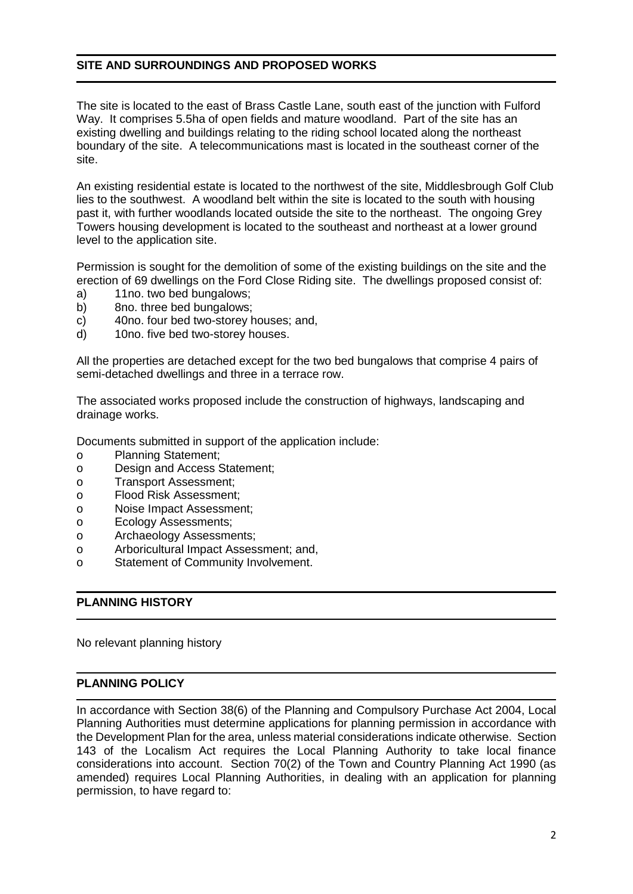# **SITE AND SURROUNDINGS AND PROPOSED WORKS**

The site is located to the east of Brass Castle Lane, south east of the junction with Fulford Way. It comprises 5.5ha of open fields and mature woodland. Part of the site has an existing dwelling and buildings relating to the riding school located along the northeast boundary of the site. A telecommunications mast is located in the southeast corner of the site.

An existing residential estate is located to the northwest of the site, Middlesbrough Golf Club lies to the southwest. A woodland belt within the site is located to the south with housing past it, with further woodlands located outside the site to the northeast. The ongoing Grey Towers housing development is located to the southeast and northeast at a lower ground level to the application site.

Permission is sought for the demolition of some of the existing buildings on the site and the erection of 69 dwellings on the Ford Close Riding site. The dwellings proposed consist of:

- a) 11no. two bed bungalows;
- b) 8no. three bed bungalows;
- c) 40no. four bed two-storey houses; and,
- d) 10no. five bed two-storey houses.

All the properties are detached except for the two bed bungalows that comprise 4 pairs of semi-detached dwellings and three in a terrace row.

The associated works proposed include the construction of highways, landscaping and drainage works.

Documents submitted in support of the application include:

- o Planning Statement;
- o Design and Access Statement;
- o Transport Assessment;
- o Flood Risk Assessment;
- o Noise Impact Assessment;
- o Ecology Assessments;
- o Archaeology Assessments;
- o Arboricultural Impact Assessment; and,
- o Statement of Community Involvement.

# **PLANNING HISTORY**

No relevant planning history

## **PLANNING POLICY**

In accordance with Section 38(6) of the Planning and Compulsory Purchase Act 2004, Local Planning Authorities must determine applications for planning permission in accordance with the Development Plan for the area, unless material considerations indicate otherwise. Section 143 of the Localism Act requires the Local Planning Authority to take local finance considerations into account. Section 70(2) of the Town and Country Planning Act 1990 (as amended) requires Local Planning Authorities, in dealing with an application for planning permission, to have regard to: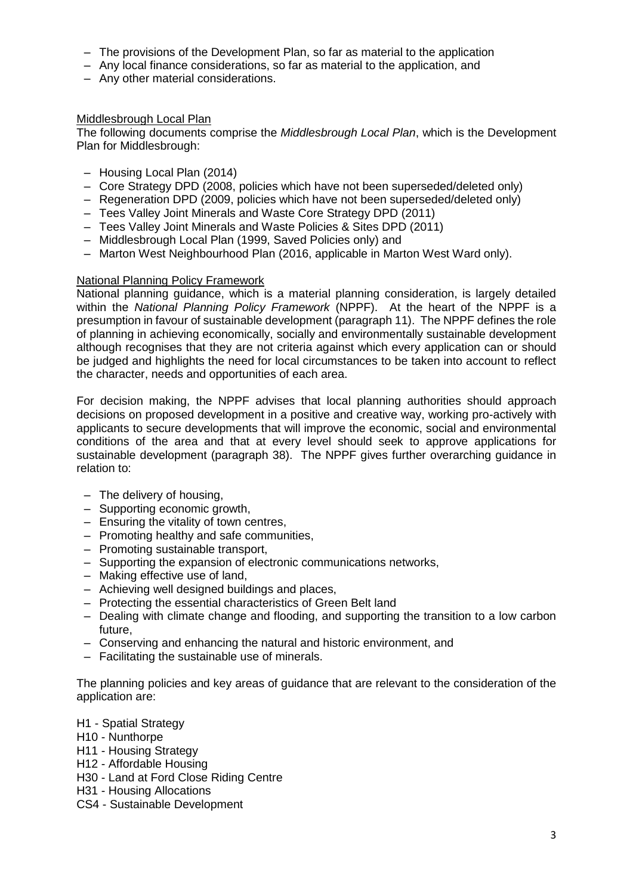- The provisions of the Development Plan, so far as material to the application
- Any local finance considerations, so far as material to the application, and
- Any other material considerations.

# Middlesbrough Local Plan

The following documents comprise the *Middlesbrough Local Plan*, which is the Development Plan for Middlesbrough:

- Housing Local Plan (2014)
- Core Strategy DPD (2008, policies which have not been superseded/deleted only)
- Regeneration DPD (2009, policies which have not been superseded/deleted only)
- Tees Valley Joint Minerals and Waste Core Strategy DPD (2011)
- Tees Valley Joint Minerals and Waste Policies & Sites DPD (2011)
- Middlesbrough Local Plan (1999, Saved Policies only) and
- Marton West Neighbourhood Plan (2016, applicable in Marton West Ward only).

## National Planning Policy Framework

National planning guidance, which is a material planning consideration, is largely detailed within the *National Planning Policy Framework* (NPPF). At the heart of the NPPF is a presumption in favour of sustainable development (paragraph 11). The NPPF defines the role of planning in achieving economically, socially and environmentally sustainable development although recognises that they are not criteria against which every application can or should be judged and highlights the need for local circumstances to be taken into account to reflect the character, needs and opportunities of each area.

For decision making, the NPPF advises that local planning authorities should approach decisions on proposed development in a positive and creative way, working pro-actively with applicants to secure developments that will improve the economic, social and environmental conditions of the area and that at every level should seek to approve applications for sustainable development (paragraph 38). The NPPF gives further overarching guidance in relation to:

- The delivery of housing,
- Supporting economic growth,
- Ensuring the vitality of town centres,
- Promoting healthy and safe communities,
- Promoting sustainable transport,
- Supporting the expansion of electronic communications networks,
- Making effective use of land,
- Achieving well designed buildings and places,
- Protecting the essential characteristics of Green Belt land
- Dealing with climate change and flooding, and supporting the transition to a low carbon future,
- Conserving and enhancing the natural and historic environment, and
- Facilitating the sustainable use of minerals.

The planning policies and key areas of guidance that are relevant to the consideration of the application are:

- H1 Spatial Strategy
- H10 Nunthorpe
- H11 Housing Strategy
- H12 Affordable Housing
- H30 Land at Ford Close Riding Centre
- H31 Housing Allocations
- CS4 Sustainable Development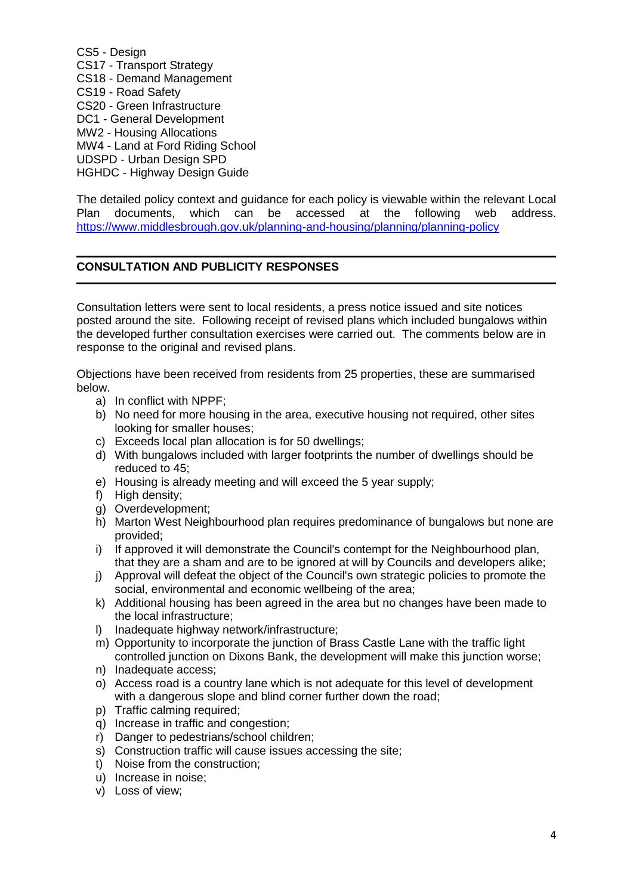CS5 - Design CS17 - Transport Strategy CS18 - Demand Management CS19 - Road Safety CS20 - Green Infrastructure DC1 - General Development MW2 - Housing Allocations MW4 - Land at Ford Riding School UDSPD - Urban Design SPD HGHDC - Highway Design Guide

The detailed policy context and guidance for each policy is viewable within the relevant Local Plan documents, which can be accessed at the following web address. <https://www.middlesbrough.gov.uk/planning-and-housing/planning/planning-policy>

# **CONSULTATION AND PUBLICITY RESPONSES**

Consultation letters were sent to local residents, a press notice issued and site notices posted around the site. Following receipt of revised plans which included bungalows within the developed further consultation exercises were carried out. The comments below are in response to the original and revised plans.

Objections have been received from residents from 25 properties, these are summarised below.

- a) In conflict with NPPF;
- b) No need for more housing in the area, executive housing not required, other sites looking for smaller houses;
- c) Exceeds local plan allocation is for 50 dwellings;
- d) With bungalows included with larger footprints the number of dwellings should be reduced to 45;
- e) Housing is already meeting and will exceed the 5 year supply;
- f) High density;
- g) Overdevelopment;
- h) Marton West Neighbourhood plan requires predominance of bungalows but none are provided;
- i) If approved it will demonstrate the Council's contempt for the Neighbourhood plan, that they are a sham and are to be ignored at will by Councils and developers alike;
- j) Approval will defeat the object of the Council's own strategic policies to promote the social, environmental and economic wellbeing of the area;
- k) Additional housing has been agreed in the area but no changes have been made to the local infrastructure;
- l) Inadequate highway network/infrastructure;
- m) Opportunity to incorporate the junction of Brass Castle Lane with the traffic light controlled junction on Dixons Bank, the development will make this junction worse;
- n) Inadequate access;
- o) Access road is a country lane which is not adequate for this level of development with a dangerous slope and blind corner further down the road:
- p) Traffic calming required;
- q) Increase in traffic and congestion;
- r) Danger to pedestrians/school children;
- s) Construction traffic will cause issues accessing the site;
- t) Noise from the construction;
- u) Increase in noise;
- v) Loss of view;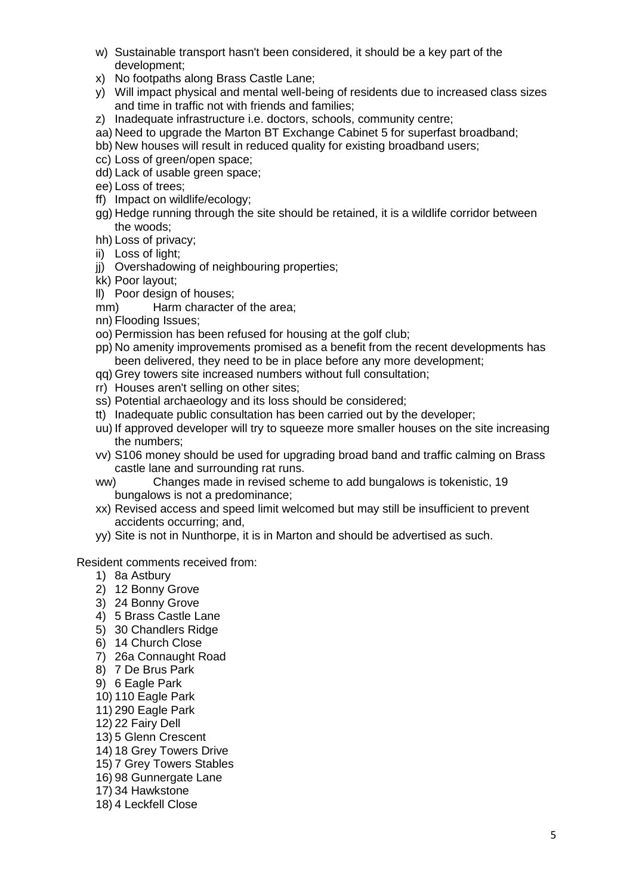- w) Sustainable transport hasn't been considered, it should be a key part of the development;
- x) No footpaths along Brass Castle Lane;
- y) Will impact physical and mental well-being of residents due to increased class sizes and time in traffic not with friends and families;
- z) Inadequate infrastructure i.e. doctors, schools, community centre;
- aa) Need to upgrade the Marton BT Exchange Cabinet 5 for superfast broadband;
- bb) New houses will result in reduced quality for existing broadband users;
- cc) Loss of green/open space;
- dd) Lack of usable green space;
- ee) Loss of trees;
- ff) Impact on wildlife/ecology;
- gg) Hedge running through the site should be retained, it is a wildlife corridor between the woods;
- hh) Loss of privacy;
- ii) Loss of light;
- jj) Overshadowing of neighbouring properties;
- kk) Poor layout;
- ll) Poor design of houses;
- mm) Harm character of the area;
- nn) Flooding Issues;
- oo) Permission has been refused for housing at the golf club;
- pp) No amenity improvements promised as a benefit from the recent developments has been delivered, they need to be in place before any more development;
- qq) Grey towers site increased numbers without full consultation;
- rr) Houses aren't selling on other sites;
- ss) Potential archaeology and its loss should be considered;
- tt) Inadequate public consultation has been carried out by the developer;
- uu) If approved developer will try to squeeze more smaller houses on the site increasing the numbers;
- vv) S106 money should be used for upgrading broad band and traffic calming on Brass castle lane and surrounding rat runs.
- ww) Changes made in revised scheme to add bungalows is tokenistic, 19 bungalows is not a predominance;
- xx) Revised access and speed limit welcomed but may still be insufficient to prevent accidents occurring; and,
- yy) Site is not in Nunthorpe, it is in Marton and should be advertised as such.

## Resident comments received from:

- 1) 8a Astbury
- 2) 12 Bonny Grove
- 3) 24 Bonny Grove
- 4) 5 Brass Castle Lane
- 5) 30 Chandlers Ridge
- 6) 14 Church Close
- 7) 26a Connaught Road
- 8) 7 De Brus Park
- 9) 6 Eagle Park
- 10) 110 Eagle Park
- 11) 290 Eagle Park
- 12) 22 Fairy Dell
- 13) 5 Glenn Crescent
- 14) 18 Grey Towers Drive
- 15) 7 Grey Towers Stables
- 16) 98 Gunnergate Lane
- 17) 34 Hawkstone
- 18) 4 Leckfell Close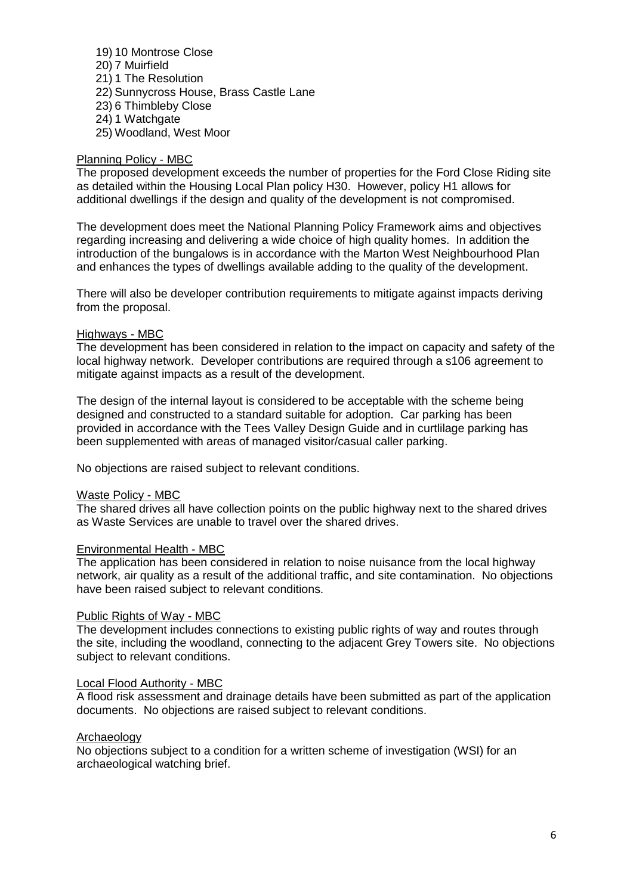19) 10 Montrose Close 20) 7 Muirfield 21) 1 The Resolution 22) Sunnycross House, Brass Castle Lane 23) 6 Thimbleby Close 24) 1 Watchgate 25) Woodland, West Moor

# Planning Policy - MBC

The proposed development exceeds the number of properties for the Ford Close Riding site as detailed within the Housing Local Plan policy H30. However, policy H1 allows for additional dwellings if the design and quality of the development is not compromised.

The development does meet the National Planning Policy Framework aims and objectives regarding increasing and delivering a wide choice of high quality homes. In addition the introduction of the bungalows is in accordance with the Marton West Neighbourhood Plan and enhances the types of dwellings available adding to the quality of the development.

There will also be developer contribution requirements to mitigate against impacts deriving from the proposal.

## Highways - MBC

The development has been considered in relation to the impact on capacity and safety of the local highway network. Developer contributions are required through a s106 agreement to mitigate against impacts as a result of the development.

The design of the internal layout is considered to be acceptable with the scheme being designed and constructed to a standard suitable for adoption. Car parking has been provided in accordance with the Tees Valley Design Guide and in curtlilage parking has been supplemented with areas of managed visitor/casual caller parking.

No objections are raised subject to relevant conditions.

## Waste Policy - MBC

The shared drives all have collection points on the public highway next to the shared drives as Waste Services are unable to travel over the shared drives.

## Environmental Health - MBC

The application has been considered in relation to noise nuisance from the local highway network, air quality as a result of the additional traffic, and site contamination. No objections have been raised subject to relevant conditions.

## Public Rights of Way - MBC

The development includes connections to existing public rights of way and routes through the site, including the woodland, connecting to the adjacent Grey Towers site. No objections subject to relevant conditions.

## Local Flood Authority - MBC

A flood risk assessment and drainage details have been submitted as part of the application documents. No objections are raised subject to relevant conditions.

## Archaeology

No objections subject to a condition for a written scheme of investigation (WSI) for an archaeological watching brief.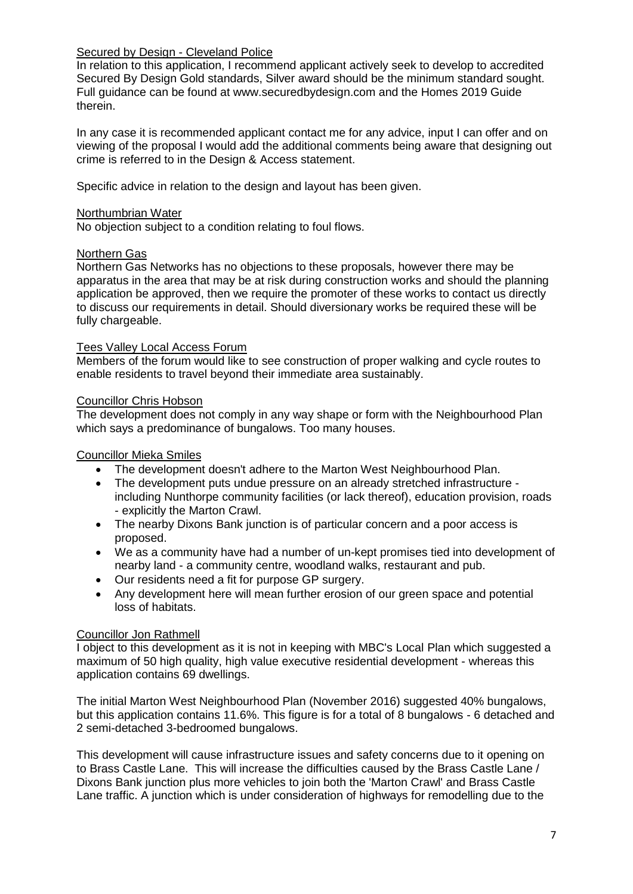# Secured by Design - Cleveland Police

In relation to this application, I recommend applicant actively seek to develop to accredited Secured By Design Gold standards, Silver award should be the minimum standard sought. Full guidance can be found at www.securedbydesign.com and the Homes 2019 Guide therein.

In any case it is recommended applicant contact me for any advice, input I can offer and on viewing of the proposal I would add the additional comments being aware that designing out crime is referred to in the Design & Access statement.

Specific advice in relation to the design and layout has been given.

## Northumbrian Water

No objection subject to a condition relating to foul flows.

## Northern Gas

Northern Gas Networks has no objections to these proposals, however there may be apparatus in the area that may be at risk during construction works and should the planning application be approved, then we require the promoter of these works to contact us directly to discuss our requirements in detail. Should diversionary works be required these will be fully chargeable.

## Tees Valley Local Access Forum

Members of the forum would like to see construction of proper walking and cycle routes to enable residents to travel beyond their immediate area sustainably.

## Councillor Chris Hobson

The development does not comply in any way shape or form with the Neighbourhood Plan which says a predominance of bungalows. Too many houses.

## Councillor Mieka Smiles

- The development doesn't adhere to the Marton West Neighbourhood Plan.
- The development puts undue pressure on an already stretched infrastructure including Nunthorpe community facilities (or lack thereof), education provision, roads - explicitly the Marton Crawl.
- The nearby Dixons Bank junction is of particular concern and a poor access is proposed.
- We as a community have had a number of un-kept promises tied into development of nearby land - a community centre, woodland walks, restaurant and pub.
- Our residents need a fit for purpose GP surgery.
- Any development here will mean further erosion of our green space and potential loss of habitats.

## Councillor Jon Rathmell

I object to this development as it is not in keeping with MBC's Local Plan which suggested a maximum of 50 high quality, high value executive residential development - whereas this application contains 69 dwellings.

The initial Marton West Neighbourhood Plan (November 2016) suggested 40% bungalows, but this application contains 11.6%. This figure is for a total of 8 bungalows - 6 detached and 2 semi-detached 3-bedroomed bungalows.

This development will cause infrastructure issues and safety concerns due to it opening on to Brass Castle Lane. This will increase the difficulties caused by the Brass Castle Lane / Dixons Bank junction plus more vehicles to join both the 'Marton Crawl' and Brass Castle Lane traffic. A junction which is under consideration of highways for remodelling due to the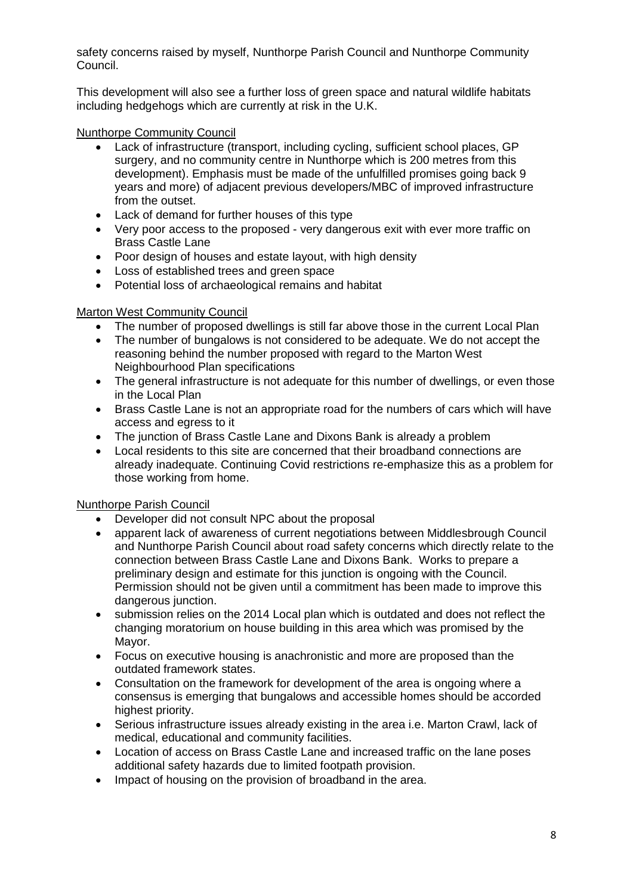safety concerns raised by myself, Nunthorpe Parish Council and Nunthorpe Community Council.

This development will also see a further loss of green space and natural wildlife habitats including hedgehogs which are currently at risk in the U.K.

## Nunthorpe Community Council

- Lack of infrastructure (transport, including cycling, sufficient school places, GP surgery, and no community centre in Nunthorpe which is 200 metres from this development). Emphasis must be made of the unfulfilled promises going back 9 years and more) of adjacent previous developers/MBC of improved infrastructure from the outset.
- Lack of demand for further houses of this type
- Very poor access to the proposed very dangerous exit with ever more traffic on Brass Castle Lane
- Poor design of houses and estate layout, with high density
- Loss of established trees and green space
- Potential loss of archaeological remains and habitat

# Marton West Community Council

- The number of proposed dwellings is still far above those in the current Local Plan
- The number of bungalows is not considered to be adequate. We do not accept the reasoning behind the number proposed with regard to the Marton West Neighbourhood Plan specifications
- The general infrastructure is not adequate for this number of dwellings, or even those in the Local Plan
- Brass Castle Lane is not an appropriate road for the numbers of cars which will have access and egress to it
- The junction of Brass Castle Lane and Dixons Bank is already a problem
- Local residents to this site are concerned that their broadband connections are already inadequate. Continuing Covid restrictions re-emphasize this as a problem for those working from home.

# Nunthorpe Parish Council

- Developer did not consult NPC about the proposal
- apparent lack of awareness of current negotiations between Middlesbrough Council and Nunthorpe Parish Council about road safety concerns which directly relate to the connection between Brass Castle Lane and Dixons Bank. Works to prepare a preliminary design and estimate for this junction is ongoing with the Council. Permission should not be given until a commitment has been made to improve this dangerous junction.
- submission relies on the 2014 Local plan which is outdated and does not reflect the changing moratorium on house building in this area which was promised by the Mayor.
- Focus on executive housing is anachronistic and more are proposed than the outdated framework states.
- Consultation on the framework for development of the area is ongoing where a consensus is emerging that bungalows and accessible homes should be accorded highest priority.
- Serious infrastructure issues already existing in the area i.e. Marton Crawl, lack of medical, educational and community facilities.
- Location of access on Brass Castle Lane and increased traffic on the lane poses additional safety hazards due to limited footpath provision.
- Impact of housing on the provision of broadband in the area.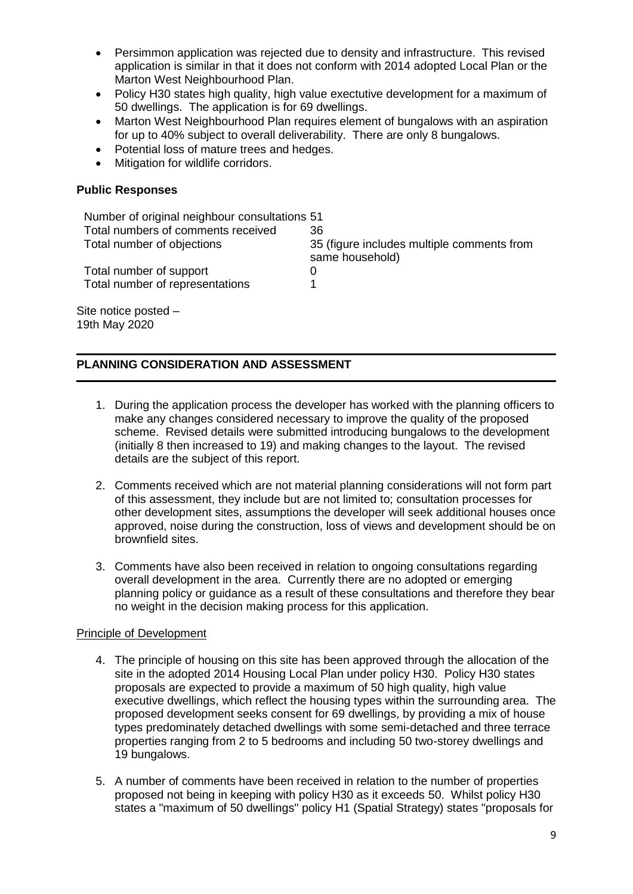- Persimmon application was rejected due to density and infrastructure. This revised application is similar in that it does not conform with 2014 adopted Local Plan or the Marton West Neighbourhood Plan.
- Policy H30 states high quality, high value exectutive development for a maximum of 50 dwellings. The application is for 69 dwellings.
- Marton West Neighbourhood Plan requires element of bungalows with an aspiration for up to 40% subject to overall deliverability. There are only 8 bungalows.
- Potential loss of mature trees and hedges.
- Mitigation for wildlife corridors.

# **Public Responses**

| Number of original neighbour consultations 51 |                                                               |
|-----------------------------------------------|---------------------------------------------------------------|
| Total numbers of comments received            | 36                                                            |
| Total number of objections                    | 35 (figure includes multiple comments from<br>same household) |
| Total number of support                       | $\Omega$                                                      |
| Total number of representations               |                                                               |
|                                               |                                                               |

Site notice posted – 19th May 2020

# **PLANNING CONSIDERATION AND ASSESSMENT**

- 1. During the application process the developer has worked with the planning officers to make any changes considered necessary to improve the quality of the proposed scheme. Revised details were submitted introducing bungalows to the development (initially 8 then increased to 19) and making changes to the layout. The revised details are the subject of this report.
- 2. Comments received which are not material planning considerations will not form part of this assessment, they include but are not limited to; consultation processes for other development sites, assumptions the developer will seek additional houses once approved, noise during the construction, loss of views and development should be on brownfield sites.
- 3. Comments have also been received in relation to ongoing consultations regarding overall development in the area. Currently there are no adopted or emerging planning policy or guidance as a result of these consultations and therefore they bear no weight in the decision making process for this application.

# Principle of Development

- 4. The principle of housing on this site has been approved through the allocation of the site in the adopted 2014 Housing Local Plan under policy H30. Policy H30 states proposals are expected to provide a maximum of 50 high quality, high value executive dwellings, which reflect the housing types within the surrounding area. The proposed development seeks consent for 69 dwellings, by providing a mix of house types predominately detached dwellings with some semi-detached and three terrace properties ranging from 2 to 5 bedrooms and including 50 two-storey dwellings and 19 bungalows.
- 5. A number of comments have been received in relation to the number of properties proposed not being in keeping with policy H30 as it exceeds 50. Whilst policy H30 states a "maximum of 50 dwellings" policy H1 (Spatial Strategy) states "proposals for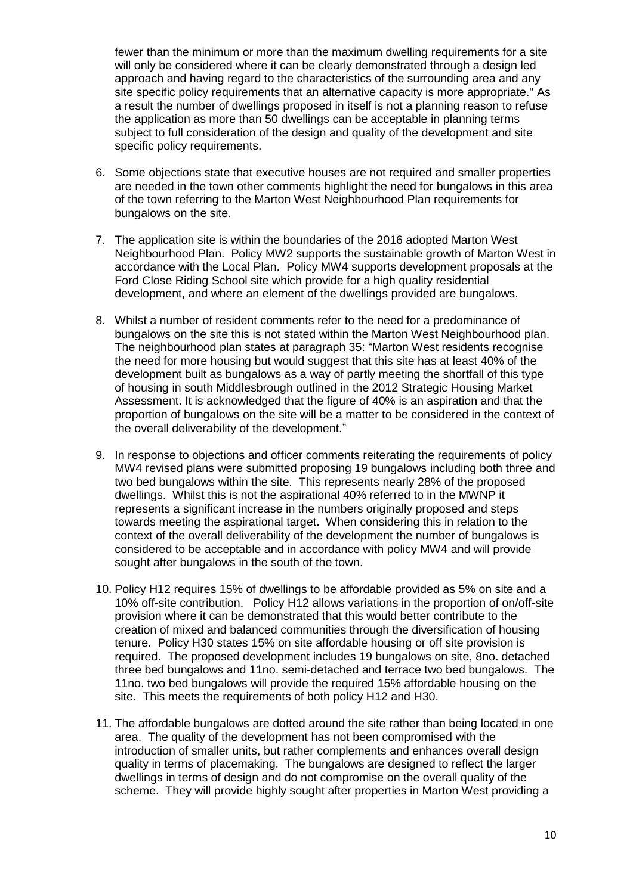fewer than the minimum or more than the maximum dwelling requirements for a site will only be considered where it can be clearly demonstrated through a design led approach and having regard to the characteristics of the surrounding area and any site specific policy requirements that an alternative capacity is more appropriate." As a result the number of dwellings proposed in itself is not a planning reason to refuse the application as more than 50 dwellings can be acceptable in planning terms subject to full consideration of the design and quality of the development and site specific policy requirements.

- 6. Some objections state that executive houses are not required and smaller properties are needed in the town other comments highlight the need for bungalows in this area of the town referring to the Marton West Neighbourhood Plan requirements for bungalows on the site.
- 7. The application site is within the boundaries of the 2016 adopted Marton West Neighbourhood Plan. Policy MW2 supports the sustainable growth of Marton West in accordance with the Local Plan. Policy MW4 supports development proposals at the Ford Close Riding School site which provide for a high quality residential development, and where an element of the dwellings provided are bungalows.
- 8. Whilst a number of resident comments refer to the need for a predominance of bungalows on the site this is not stated within the Marton West Neighbourhood plan. The neighbourhood plan states at paragraph 35: "Marton West residents recognise the need for more housing but would suggest that this site has at least 40% of the development built as bungalows as a way of partly meeting the shortfall of this type of housing in south Middlesbrough outlined in the 2012 Strategic Housing Market Assessment. It is acknowledged that the figure of 40% is an aspiration and that the proportion of bungalows on the site will be a matter to be considered in the context of the overall deliverability of the development."
- 9. In response to objections and officer comments reiterating the requirements of policy MW4 revised plans were submitted proposing 19 bungalows including both three and two bed bungalows within the site. This represents nearly 28% of the proposed dwellings. Whilst this is not the aspirational 40% referred to in the MWNP it represents a significant increase in the numbers originally proposed and steps towards meeting the aspirational target. When considering this in relation to the context of the overall deliverability of the development the number of bungalows is considered to be acceptable and in accordance with policy MW4 and will provide sought after bungalows in the south of the town.
- 10. Policy H12 requires 15% of dwellings to be affordable provided as 5% on site and a 10% off-site contribution. Policy H12 allows variations in the proportion of on/off-site provision where it can be demonstrated that this would better contribute to the creation of mixed and balanced communities through the diversification of housing tenure. Policy H30 states 15% on site affordable housing or off site provision is required. The proposed development includes 19 bungalows on site, 8no. detached three bed bungalows and 11no. semi-detached and terrace two bed bungalows. The 11no. two bed bungalows will provide the required 15% affordable housing on the site. This meets the requirements of both policy H12 and H30.
- 11. The affordable bungalows are dotted around the site rather than being located in one area. The quality of the development has not been compromised with the introduction of smaller units, but rather complements and enhances overall design quality in terms of placemaking. The bungalows are designed to reflect the larger dwellings in terms of design and do not compromise on the overall quality of the scheme. They will provide highly sought after properties in Marton West providing a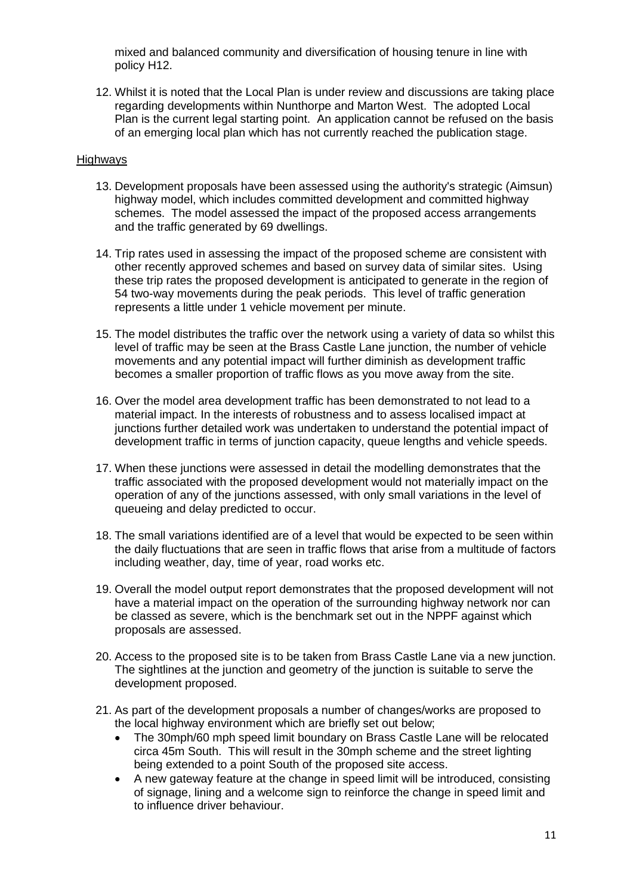mixed and balanced community and diversification of housing tenure in line with policy H12.

12. Whilst it is noted that the Local Plan is under review and discussions are taking place regarding developments within Nunthorpe and Marton West. The adopted Local Plan is the current legal starting point. An application cannot be refused on the basis of an emerging local plan which has not currently reached the publication stage.

## **Highways**

- 13. Development proposals have been assessed using the authority's strategic (Aimsun) highway model, which includes committed development and committed highway schemes. The model assessed the impact of the proposed access arrangements and the traffic generated by 69 dwellings.
- 14. Trip rates used in assessing the impact of the proposed scheme are consistent with other recently approved schemes and based on survey data of similar sites. Using these trip rates the proposed development is anticipated to generate in the region of 54 two-way movements during the peak periods. This level of traffic generation represents a little under 1 vehicle movement per minute.
- 15. The model distributes the traffic over the network using a variety of data so whilst this level of traffic may be seen at the Brass Castle Lane junction, the number of vehicle movements and any potential impact will further diminish as development traffic becomes a smaller proportion of traffic flows as you move away from the site.
- 16. Over the model area development traffic has been demonstrated to not lead to a material impact. In the interests of robustness and to assess localised impact at junctions further detailed work was undertaken to understand the potential impact of development traffic in terms of junction capacity, queue lengths and vehicle speeds.
- 17. When these junctions were assessed in detail the modelling demonstrates that the traffic associated with the proposed development would not materially impact on the operation of any of the junctions assessed, with only small variations in the level of queueing and delay predicted to occur.
- 18. The small variations identified are of a level that would be expected to be seen within the daily fluctuations that are seen in traffic flows that arise from a multitude of factors including weather, day, time of year, road works etc.
- 19. Overall the model output report demonstrates that the proposed development will not have a material impact on the operation of the surrounding highway network nor can be classed as severe, which is the benchmark set out in the NPPF against which proposals are assessed.
- 20. Access to the proposed site is to be taken from Brass Castle Lane via a new junction. The sightlines at the junction and geometry of the junction is suitable to serve the development proposed.
- 21. As part of the development proposals a number of changes/works are proposed to the local highway environment which are briefly set out below;
	- The 30mph/60 mph speed limit boundary on Brass Castle Lane will be relocated circa 45m South. This will result in the 30mph scheme and the street lighting being extended to a point South of the proposed site access.
	- A new gateway feature at the change in speed limit will be introduced, consisting of signage, lining and a welcome sign to reinforce the change in speed limit and to influence driver behaviour.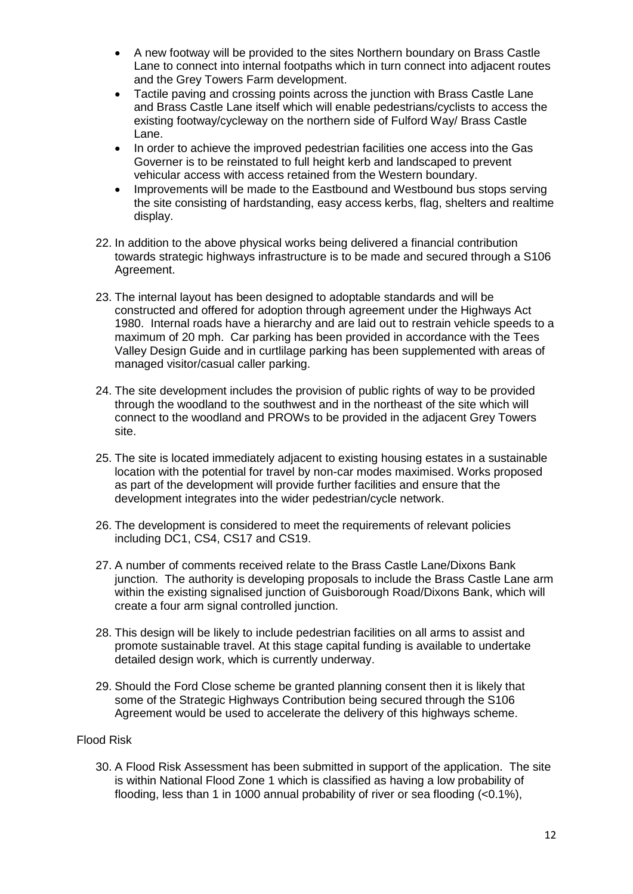- A new footway will be provided to the sites Northern boundary on Brass Castle Lane to connect into internal footpaths which in turn connect into adjacent routes and the Grey Towers Farm development.
- Tactile paving and crossing points across the junction with Brass Castle Lane and Brass Castle Lane itself which will enable pedestrians/cyclists to access the existing footway/cycleway on the northern side of Fulford Way/ Brass Castle Lane.
- In order to achieve the improved pedestrian facilities one access into the Gas Governer is to be reinstated to full height kerb and landscaped to prevent vehicular access with access retained from the Western boundary.
- Improvements will be made to the Eastbound and Westbound bus stops serving the site consisting of hardstanding, easy access kerbs, flag, shelters and realtime display.
- 22. In addition to the above physical works being delivered a financial contribution towards strategic highways infrastructure is to be made and secured through a S106 Agreement.
- 23. The internal layout has been designed to adoptable standards and will be constructed and offered for adoption through agreement under the Highways Act 1980. Internal roads have a hierarchy and are laid out to restrain vehicle speeds to a maximum of 20 mph. Car parking has been provided in accordance with the Tees Valley Design Guide and in curtlilage parking has been supplemented with areas of managed visitor/casual caller parking.
- 24. The site development includes the provision of public rights of way to be provided through the woodland to the southwest and in the northeast of the site which will connect to the woodland and PROWs to be provided in the adjacent Grey Towers site.
- 25. The site is located immediately adjacent to existing housing estates in a sustainable location with the potential for travel by non-car modes maximised. Works proposed as part of the development will provide further facilities and ensure that the development integrates into the wider pedestrian/cycle network.
- 26. The development is considered to meet the requirements of relevant policies including DC1, CS4, CS17 and CS19.
- 27. A number of comments received relate to the Brass Castle Lane/Dixons Bank junction. The authority is developing proposals to include the Brass Castle Lane arm within the existing signalised junction of Guisborough Road/Dixons Bank, which will create a four arm signal controlled junction.
- 28. This design will be likely to include pedestrian facilities on all arms to assist and promote sustainable travel. At this stage capital funding is available to undertake detailed design work, which is currently underway.
- 29. Should the Ford Close scheme be granted planning consent then it is likely that some of the Strategic Highways Contribution being secured through the S106 Agreement would be used to accelerate the delivery of this highways scheme.

# Flood Risk

30. A Flood Risk Assessment has been submitted in support of the application. The site is within National Flood Zone 1 which is classified as having a low probability of flooding, less than 1 in 1000 annual probability of river or sea flooding (<0.1%),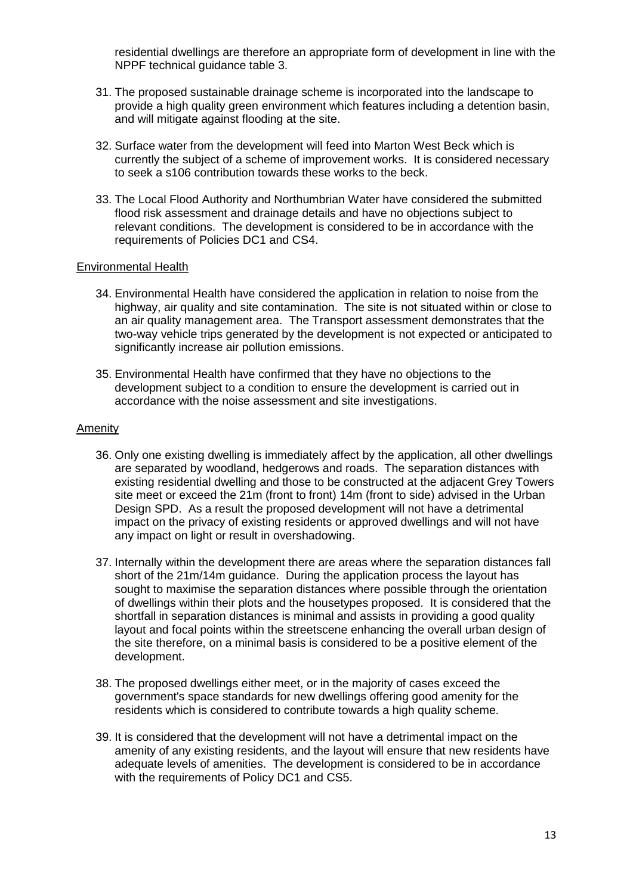residential dwellings are therefore an appropriate form of development in line with the NPPF technical guidance table 3.

- 31. The proposed sustainable drainage scheme is incorporated into the landscape to provide a high quality green environment which features including a detention basin, and will mitigate against flooding at the site.
- 32. Surface water from the development will feed into Marton West Beck which is currently the subject of a scheme of improvement works. It is considered necessary to seek a s106 contribution towards these works to the beck.
- 33. The Local Flood Authority and Northumbrian Water have considered the submitted flood risk assessment and drainage details and have no objections subject to relevant conditions. The development is considered to be in accordance with the requirements of Policies DC1 and CS4.

## Environmental Health

- 34. Environmental Health have considered the application in relation to noise from the highway, air quality and site contamination. The site is not situated within or close to an air quality management area. The Transport assessment demonstrates that the two-way vehicle trips generated by the development is not expected or anticipated to significantly increase air pollution emissions.
- 35. Environmental Health have confirmed that they have no objections to the development subject to a condition to ensure the development is carried out in accordance with the noise assessment and site investigations.

## Amenity

- 36. Only one existing dwelling is immediately affect by the application, all other dwellings are separated by woodland, hedgerows and roads. The separation distances with existing residential dwelling and those to be constructed at the adjacent Grey Towers site meet or exceed the 21m (front to front) 14m (front to side) advised in the Urban Design SPD. As a result the proposed development will not have a detrimental impact on the privacy of existing residents or approved dwellings and will not have any impact on light or result in overshadowing.
- 37. Internally within the development there are areas where the separation distances fall short of the 21m/14m guidance. During the application process the layout has sought to maximise the separation distances where possible through the orientation of dwellings within their plots and the housetypes proposed. It is considered that the shortfall in separation distances is minimal and assists in providing a good quality layout and focal points within the streetscene enhancing the overall urban design of the site therefore, on a minimal basis is considered to be a positive element of the development.
- 38. The proposed dwellings either meet, or in the majority of cases exceed the government's space standards for new dwellings offering good amenity for the residents which is considered to contribute towards a high quality scheme.
- 39. It is considered that the development will not have a detrimental impact on the amenity of any existing residents, and the layout will ensure that new residents have adequate levels of amenities. The development is considered to be in accordance with the requirements of Policy DC1 and CS5.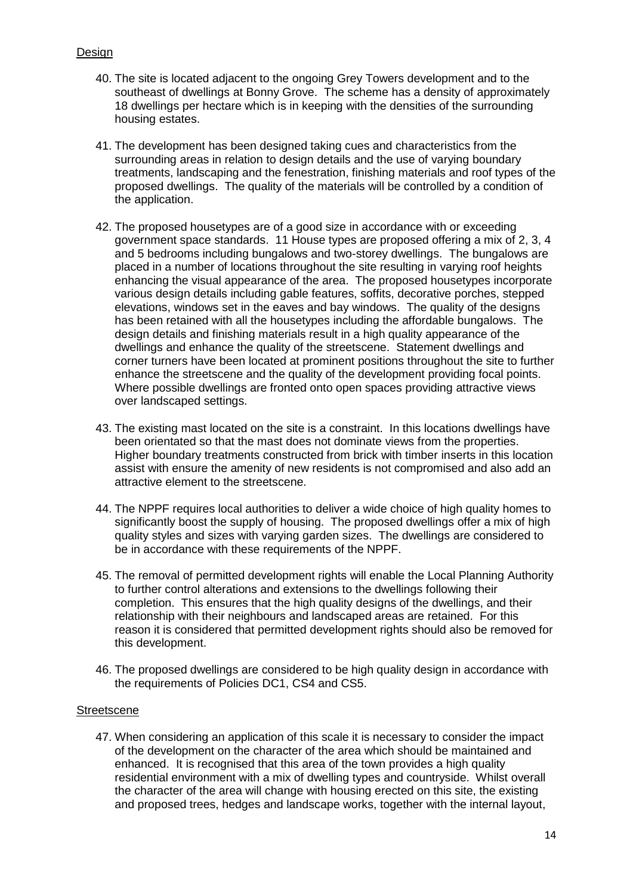# Design

- 40. The site is located adjacent to the ongoing Grey Towers development and to the southeast of dwellings at Bonny Grove. The scheme has a density of approximately 18 dwellings per hectare which is in keeping with the densities of the surrounding housing estates.
- 41. The development has been designed taking cues and characteristics from the surrounding areas in relation to design details and the use of varying boundary treatments, landscaping and the fenestration, finishing materials and roof types of the proposed dwellings. The quality of the materials will be controlled by a condition of the application.
- 42. The proposed housetypes are of a good size in accordance with or exceeding government space standards. 11 House types are proposed offering a mix of 2, 3, 4 and 5 bedrooms including bungalows and two-storey dwellings. The bungalows are placed in a number of locations throughout the site resulting in varying roof heights enhancing the visual appearance of the area. The proposed housetypes incorporate various design details including gable features, soffits, decorative porches, stepped elevations, windows set in the eaves and bay windows. The quality of the designs has been retained with all the housetypes including the affordable bungalows. The design details and finishing materials result in a high quality appearance of the dwellings and enhance the quality of the streetscene. Statement dwellings and corner turners have been located at prominent positions throughout the site to further enhance the streetscene and the quality of the development providing focal points. Where possible dwellings are fronted onto open spaces providing attractive views over landscaped settings.
- 43. The existing mast located on the site is a constraint. In this locations dwellings have been orientated so that the mast does not dominate views from the properties. Higher boundary treatments constructed from brick with timber inserts in this location assist with ensure the amenity of new residents is not compromised and also add an attractive element to the streetscene.
- 44. The NPPF requires local authorities to deliver a wide choice of high quality homes to significantly boost the supply of housing. The proposed dwellings offer a mix of high quality styles and sizes with varying garden sizes. The dwellings are considered to be in accordance with these requirements of the NPPF.
- 45. The removal of permitted development rights will enable the Local Planning Authority to further control alterations and extensions to the dwellings following their completion. This ensures that the high quality designs of the dwellings, and their relationship with their neighbours and landscaped areas are retained. For this reason it is considered that permitted development rights should also be removed for this development.
- 46. The proposed dwellings are considered to be high quality design in accordance with the requirements of Policies DC1, CS4 and CS5.

## **Streetscene**

47. When considering an application of this scale it is necessary to consider the impact of the development on the character of the area which should be maintained and enhanced. It is recognised that this area of the town provides a high quality residential environment with a mix of dwelling types and countryside. Whilst overall the character of the area will change with housing erected on this site, the existing and proposed trees, hedges and landscape works, together with the internal layout,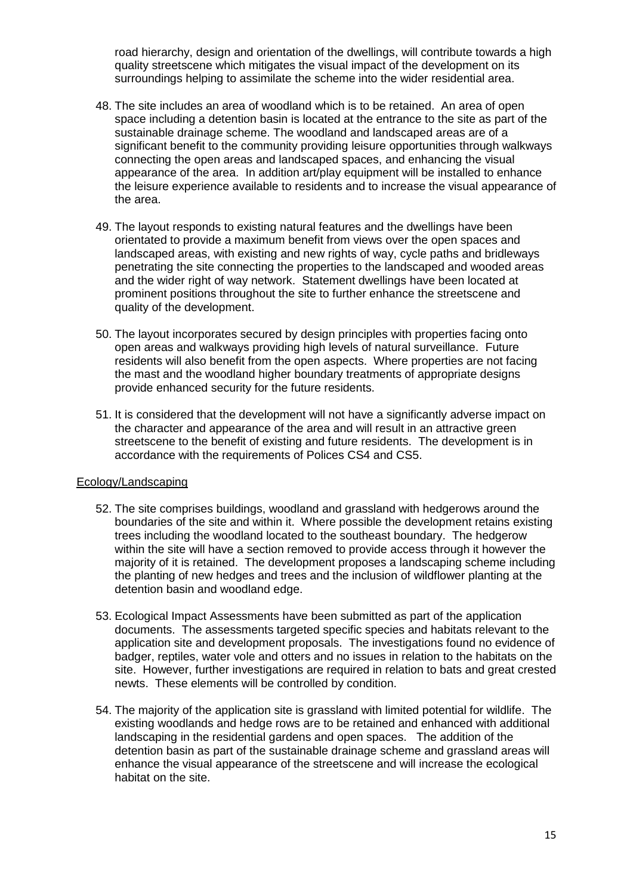road hierarchy, design and orientation of the dwellings, will contribute towards a high quality streetscene which mitigates the visual impact of the development on its surroundings helping to assimilate the scheme into the wider residential area.

- 48. The site includes an area of woodland which is to be retained. An area of open space including a detention basin is located at the entrance to the site as part of the sustainable drainage scheme. The woodland and landscaped areas are of a significant benefit to the community providing leisure opportunities through walkways connecting the open areas and landscaped spaces, and enhancing the visual appearance of the area. In addition art/play equipment will be installed to enhance the leisure experience available to residents and to increase the visual appearance of the area.
- 49. The layout responds to existing natural features and the dwellings have been orientated to provide a maximum benefit from views over the open spaces and landscaped areas, with existing and new rights of way, cycle paths and bridleways penetrating the site connecting the properties to the landscaped and wooded areas and the wider right of way network. Statement dwellings have been located at prominent positions throughout the site to further enhance the streetscene and quality of the development.
- 50. The layout incorporates secured by design principles with properties facing onto open areas and walkways providing high levels of natural surveillance. Future residents will also benefit from the open aspects. Where properties are not facing the mast and the woodland higher boundary treatments of appropriate designs provide enhanced security for the future residents.
- 51. It is considered that the development will not have a significantly adverse impact on the character and appearance of the area and will result in an attractive green streetscene to the benefit of existing and future residents. The development is in accordance with the requirements of Polices CS4 and CS5.

# Ecology/Landscaping

- 52. The site comprises buildings, woodland and grassland with hedgerows around the boundaries of the site and within it. Where possible the development retains existing trees including the woodland located to the southeast boundary. The hedgerow within the site will have a section removed to provide access through it however the majority of it is retained. The development proposes a landscaping scheme including the planting of new hedges and trees and the inclusion of wildflower planting at the detention basin and woodland edge.
- 53. Ecological Impact Assessments have been submitted as part of the application documents. The assessments targeted specific species and habitats relevant to the application site and development proposals. The investigations found no evidence of badger, reptiles, water vole and otters and no issues in relation to the habitats on the site. However, further investigations are required in relation to bats and great crested newts. These elements will be controlled by condition.
- 54. The majority of the application site is grassland with limited potential for wildlife. The existing woodlands and hedge rows are to be retained and enhanced with additional landscaping in the residential gardens and open spaces. The addition of the detention basin as part of the sustainable drainage scheme and grassland areas will enhance the visual appearance of the streetscene and will increase the ecological habitat on the site.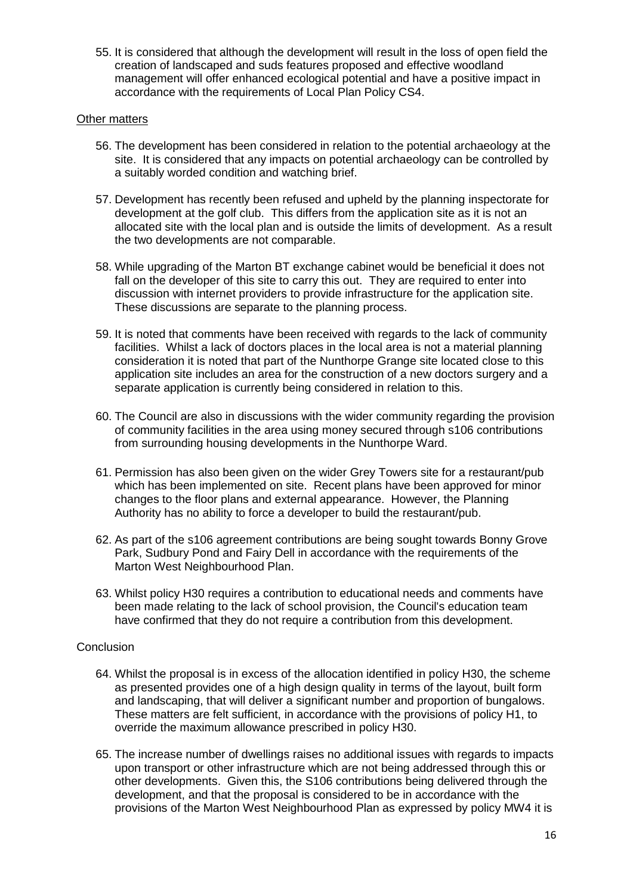55. It is considered that although the development will result in the loss of open field the creation of landscaped and suds features proposed and effective woodland management will offer enhanced ecological potential and have a positive impact in accordance with the requirements of Local Plan Policy CS4.

# Other matters

- 56. The development has been considered in relation to the potential archaeology at the site. It is considered that any impacts on potential archaeology can be controlled by a suitably worded condition and watching brief.
- 57. Development has recently been refused and upheld by the planning inspectorate for development at the golf club. This differs from the application site as it is not an allocated site with the local plan and is outside the limits of development. As a result the two developments are not comparable.
- 58. While upgrading of the Marton BT exchange cabinet would be beneficial it does not fall on the developer of this site to carry this out. They are required to enter into discussion with internet providers to provide infrastructure for the application site. These discussions are separate to the planning process.
- 59. It is noted that comments have been received with regards to the lack of community facilities. Whilst a lack of doctors places in the local area is not a material planning consideration it is noted that part of the Nunthorpe Grange site located close to this application site includes an area for the construction of a new doctors surgery and a separate application is currently being considered in relation to this.
- 60. The Council are also in discussions with the wider community regarding the provision of community facilities in the area using money secured through s106 contributions from surrounding housing developments in the Nunthorpe Ward.
- 61. Permission has also been given on the wider Grey Towers site for a restaurant/pub which has been implemented on site. Recent plans have been approved for minor changes to the floor plans and external appearance. However, the Planning Authority has no ability to force a developer to build the restaurant/pub.
- 62. As part of the s106 agreement contributions are being sought towards Bonny Grove Park, Sudbury Pond and Fairy Dell in accordance with the requirements of the Marton West Neighbourhood Plan.
- 63. Whilst policy H30 requires a contribution to educational needs and comments have been made relating to the lack of school provision, the Council's education team have confirmed that they do not require a contribution from this development.

# **Conclusion**

- 64. Whilst the proposal is in excess of the allocation identified in policy H30, the scheme as presented provides one of a high design quality in terms of the layout, built form and landscaping, that will deliver a significant number and proportion of bungalows. These matters are felt sufficient, in accordance with the provisions of policy H1, to override the maximum allowance prescribed in policy H30.
- 65. The increase number of dwellings raises no additional issues with regards to impacts upon transport or other infrastructure which are not being addressed through this or other developments. Given this, the S106 contributions being delivered through the development, and that the proposal is considered to be in accordance with the provisions of the Marton West Neighbourhood Plan as expressed by policy MW4 it is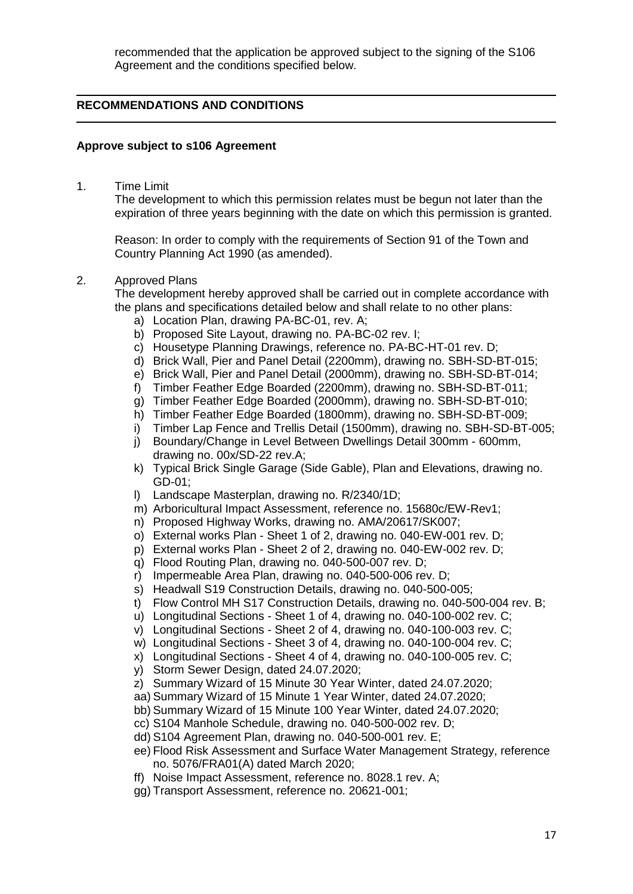recommended that the application be approved subject to the signing of the S106 Agreement and the conditions specified below.

# **RECOMMENDATIONS AND CONDITIONS**

## **Approve subject to s106 Agreement**

1. Time Limit

The development to which this permission relates must be begun not later than the expiration of three years beginning with the date on which this permission is granted.

Reason: In order to comply with the requirements of Section 91 of the Town and Country Planning Act 1990 (as amended).

## 2. Approved Plans

The development hereby approved shall be carried out in complete accordance with the plans and specifications detailed below and shall relate to no other plans:

- a) Location Plan, drawing PA-BC-01, rev. A;
- b) Proposed Site Layout, drawing no. PA-BC-02 rev. I;
- c) Housetype Planning Drawings, reference no. PA-BC-HT-01 rev. D;
- d) Brick Wall, Pier and Panel Detail (2200mm), drawing no. SBH-SD-BT-015;
- e) Brick Wall, Pier and Panel Detail (2000mm), drawing no. SBH-SD-BT-014;
- f) Timber Feather Edge Boarded (2200mm), drawing no. SBH-SD-BT-011;
- g) Timber Feather Edge Boarded (2000mm), drawing no. SBH-SD-BT-010;
- h) Timber Feather Edge Boarded (1800mm), drawing no. SBH-SD-BT-009;
- i) Timber Lap Fence and Trellis Detail (1500mm), drawing no. SBH-SD-BT-005;
- j) Boundary/Change in Level Between Dwellings Detail 300mm 600mm, drawing no. 00x/SD-22 rev.A;
- k) Typical Brick Single Garage (Side Gable), Plan and Elevations, drawing no. GD-01;
- l) Landscape Masterplan, drawing no. R/2340/1D;
- m) Arboricultural Impact Assessment, reference no. 15680c/EW-Rev1;
- n) Proposed Highway Works, drawing no. AMA/20617/SK007;
- o) External works Plan Sheet 1 of 2, drawing no. 040-EW-001 rev. D;
- p) External works Plan Sheet 2 of 2, drawing no. 040-EW-002 rev. D;
- q) Flood Routing Plan, drawing no. 040-500-007 rev. D;
- r) Impermeable Area Plan, drawing no. 040-500-006 rev. D;
- s) Headwall S19 Construction Details, drawing no. 040-500-005;
- t) Flow Control MH S17 Construction Details, drawing no. 040-500-004 rev. B;
- u) Longitudinal Sections Sheet 1 of 4, drawing no. 040-100-002 rev. C;
- v) Longitudinal Sections Sheet 2 of 4, drawing no. 040-100-003 rev. C;
- w) Longitudinal Sections Sheet 3 of 4, drawing no. 040-100-004 rev. C;
- x) Longitudinal Sections Sheet 4 of 4, drawing no. 040-100-005 rev. C;
- y) Storm Sewer Design, dated 24.07.2020;
- z) Summary Wizard of 15 Minute 30 Year Winter, dated 24.07.2020;
- aa) Summary Wizard of 15 Minute 1 Year Winter, dated 24.07.2020;
- bb) Summary Wizard of 15 Minute 100 Year Winter, dated 24.07.2020;
- cc) S104 Manhole Schedule, drawing no. 040-500-002 rev. D;
- dd) S104 Agreement Plan, drawing no. 040-500-001 rev. E;
- ee) Flood Risk Assessment and Surface Water Management Strategy, reference no. 5076/FRA01(A) dated March 2020;
- ff) Noise Impact Assessment, reference no. 8028.1 rev. A;
- gg) Transport Assessment, reference no. 20621-001;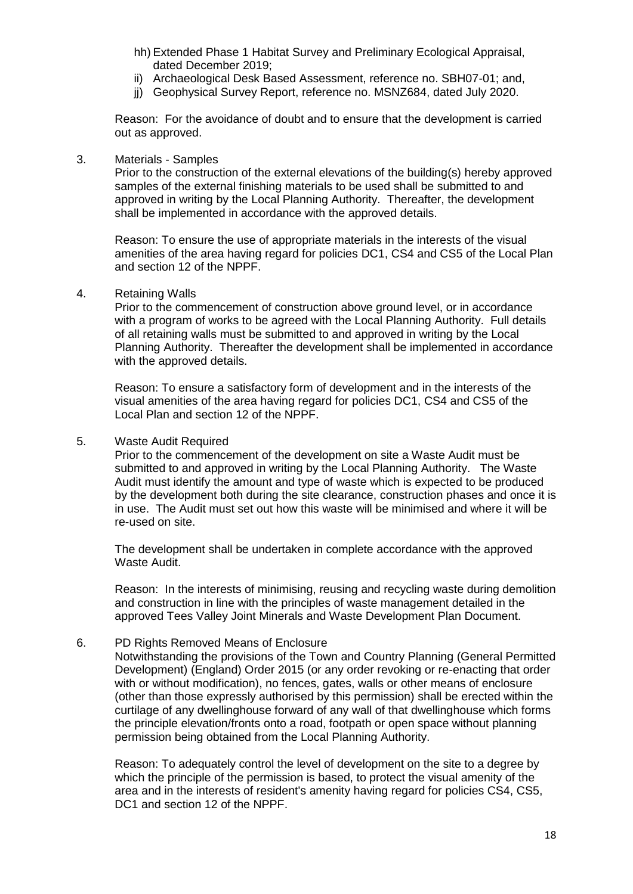- hh) Extended Phase 1 Habitat Survey and Preliminary Ecological Appraisal, dated December 2019;
- ii) Archaeological Desk Based Assessment, reference no. SBH07-01; and,
- jj) Geophysical Survey Report, reference no. MSNZ684, dated July 2020.

Reason: For the avoidance of doubt and to ensure that the development is carried out as approved.

## 3. Materials - Samples

Prior to the construction of the external elevations of the building(s) hereby approved samples of the external finishing materials to be used shall be submitted to and approved in writing by the Local Planning Authority. Thereafter, the development shall be implemented in accordance with the approved details.

Reason: To ensure the use of appropriate materials in the interests of the visual amenities of the area having regard for policies DC1, CS4 and CS5 of the Local Plan and section 12 of the NPPF.

#### 4. Retaining Walls

Prior to the commencement of construction above ground level, or in accordance with a program of works to be agreed with the Local Planning Authority. Full details of all retaining walls must be submitted to and approved in writing by the Local Planning Authority. Thereafter the development shall be implemented in accordance with the approved details.

Reason: To ensure a satisfactory form of development and in the interests of the visual amenities of the area having regard for policies DC1, CS4 and CS5 of the Local Plan and section 12 of the NPPF.

#### 5. Waste Audit Required

Prior to the commencement of the development on site a Waste Audit must be submitted to and approved in writing by the Local Planning Authority. The Waste Audit must identify the amount and type of waste which is expected to be produced by the development both during the site clearance, construction phases and once it is in use. The Audit must set out how this waste will be minimised and where it will be re-used on site.

The development shall be undertaken in complete accordance with the approved Waste Audit.

Reason: In the interests of minimising, reusing and recycling waste during demolition and construction in line with the principles of waste management detailed in the approved Tees Valley Joint Minerals and Waste Development Plan Document.

## 6. PD Rights Removed Means of Enclosure

Notwithstanding the provisions of the Town and Country Planning (General Permitted Development) (England) Order 2015 (or any order revoking or re-enacting that order with or without modification), no fences, gates, walls or other means of enclosure (other than those expressly authorised by this permission) shall be erected within the curtilage of any dwellinghouse forward of any wall of that dwellinghouse which forms the principle elevation/fronts onto a road, footpath or open space without planning permission being obtained from the Local Planning Authority.

Reason: To adequately control the level of development on the site to a degree by which the principle of the permission is based, to protect the visual amenity of the area and in the interests of resident's amenity having regard for policies CS4, CS5, DC1 and section 12 of the NPPF.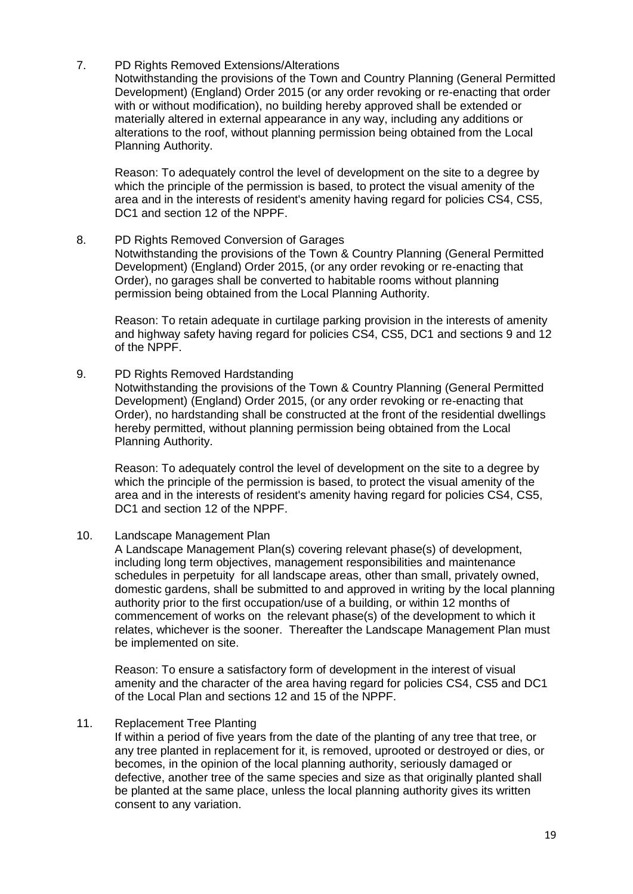# 7. PD Rights Removed Extensions/Alterations

Notwithstanding the provisions of the Town and Country Planning (General Permitted Development) (England) Order 2015 (or any order revoking or re-enacting that order with or without modification), no building hereby approved shall be extended or materially altered in external appearance in any way, including any additions or alterations to the roof, without planning permission being obtained from the Local Planning Authority.

Reason: To adequately control the level of development on the site to a degree by which the principle of the permission is based, to protect the visual amenity of the area and in the interests of resident's amenity having regard for policies CS4, CS5, DC1 and section 12 of the NPPF.

# 8. PD Rights Removed Conversion of Garages

Notwithstanding the provisions of the Town & Country Planning (General Permitted Development) (England) Order 2015, (or any order revoking or re-enacting that Order), no garages shall be converted to habitable rooms without planning permission being obtained from the Local Planning Authority.

Reason: To retain adequate in curtilage parking provision in the interests of amenity and highway safety having regard for policies CS4, CS5, DC1 and sections 9 and 12 of the NPPF.

## 9. PD Rights Removed Hardstanding

Notwithstanding the provisions of the Town & Country Planning (General Permitted Development) (England) Order 2015, (or any order revoking or re-enacting that Order), no hardstanding shall be constructed at the front of the residential dwellings hereby permitted, without planning permission being obtained from the Local Planning Authority.

Reason: To adequately control the level of development on the site to a degree by which the principle of the permission is based, to protect the visual amenity of the area and in the interests of resident's amenity having regard for policies CS4, CS5, DC1 and section 12 of the NPPF.

## 10. Landscape Management Plan

A Landscape Management Plan(s) covering relevant phase(s) of development, including long term objectives, management responsibilities and maintenance schedules in perpetuity for all landscape areas, other than small, privately owned, domestic gardens, shall be submitted to and approved in writing by the local planning authority prior to the first occupation/use of a building, or within 12 months of commencement of works on the relevant phase(s) of the development to which it relates, whichever is the sooner. Thereafter the Landscape Management Plan must be implemented on site.

Reason: To ensure a satisfactory form of development in the interest of visual amenity and the character of the area having regard for policies CS4, CS5 and DC1 of the Local Plan and sections 12 and 15 of the NPPF.

## 11. Replacement Tree Planting

If within a period of five years from the date of the planting of any tree that tree, or any tree planted in replacement for it, is removed, uprooted or destroyed or dies, or becomes, in the opinion of the local planning authority, seriously damaged or defective, another tree of the same species and size as that originally planted shall be planted at the same place, unless the local planning authority gives its written consent to any variation.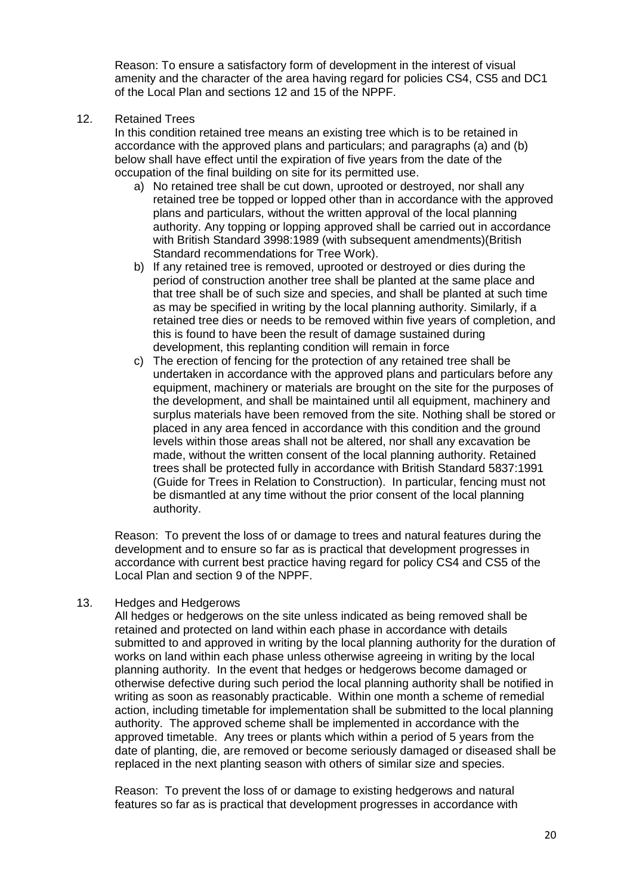Reason: To ensure a satisfactory form of development in the interest of visual amenity and the character of the area having regard for policies CS4, CS5 and DC1 of the Local Plan and sections 12 and 15 of the NPPF.

12. Retained Trees

In this condition retained tree means an existing tree which is to be retained in accordance with the approved plans and particulars; and paragraphs (a) and (b) below shall have effect until the expiration of five years from the date of the occupation of the final building on site for its permitted use.

- a) No retained tree shall be cut down, uprooted or destroyed, nor shall any retained tree be topped or lopped other than in accordance with the approved plans and particulars, without the written approval of the local planning authority. Any topping or lopping approved shall be carried out in accordance with British Standard 3998:1989 (with subsequent amendments)(British Standard recommendations for Tree Work).
- b) If any retained tree is removed, uprooted or destroyed or dies during the period of construction another tree shall be planted at the same place and that tree shall be of such size and species, and shall be planted at such time as may be specified in writing by the local planning authority. Similarly, if a retained tree dies or needs to be removed within five years of completion, and this is found to have been the result of damage sustained during development, this replanting condition will remain in force
- c) The erection of fencing for the protection of any retained tree shall be undertaken in accordance with the approved plans and particulars before any equipment, machinery or materials are brought on the site for the purposes of the development, and shall be maintained until all equipment, machinery and surplus materials have been removed from the site. Nothing shall be stored or placed in any area fenced in accordance with this condition and the ground levels within those areas shall not be altered, nor shall any excavation be made, without the written consent of the local planning authority. Retained trees shall be protected fully in accordance with British Standard 5837:1991 (Guide for Trees in Relation to Construction). In particular, fencing must not be dismantled at any time without the prior consent of the local planning authority.

Reason: To prevent the loss of or damage to trees and natural features during the development and to ensure so far as is practical that development progresses in accordance with current best practice having regard for policy CS4 and CS5 of the Local Plan and section 9 of the NPPF.

# 13. Hedges and Hedgerows

All hedges or hedgerows on the site unless indicated as being removed shall be retained and protected on land within each phase in accordance with details submitted to and approved in writing by the local planning authority for the duration of works on land within each phase unless otherwise agreeing in writing by the local planning authority. In the event that hedges or hedgerows become damaged or otherwise defective during such period the local planning authority shall be notified in writing as soon as reasonably practicable. Within one month a scheme of remedial action, including timetable for implementation shall be submitted to the local planning authority. The approved scheme shall be implemented in accordance with the approved timetable. Any trees or plants which within a period of 5 years from the date of planting, die, are removed or become seriously damaged or diseased shall be replaced in the next planting season with others of similar size and species.

Reason: To prevent the loss of or damage to existing hedgerows and natural features so far as is practical that development progresses in accordance with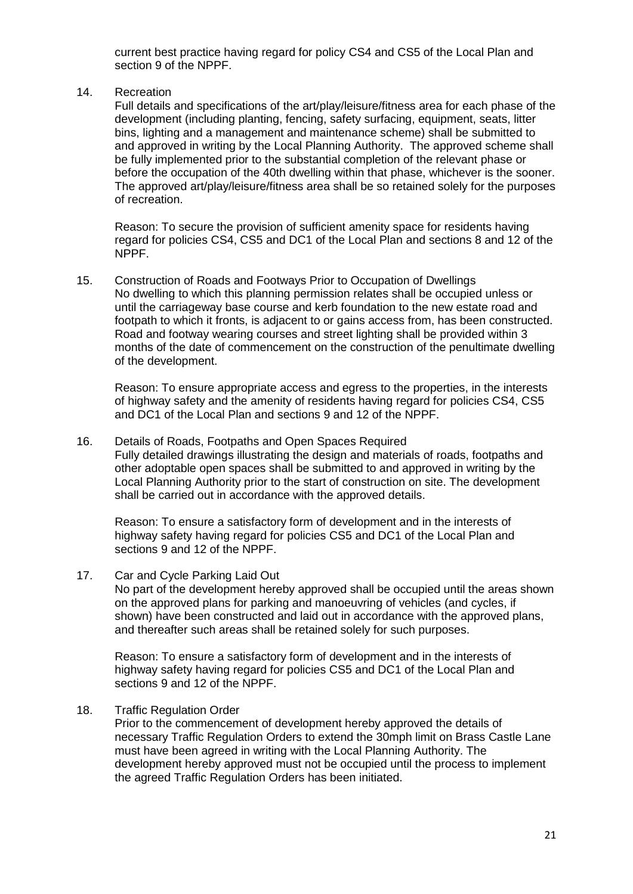current best practice having regard for policy CS4 and CS5 of the Local Plan and section 9 of the NPPF.

## 14. Recreation

Full details and specifications of the art/play/leisure/fitness area for each phase of the development (including planting, fencing, safety surfacing, equipment, seats, litter bins, lighting and a management and maintenance scheme) shall be submitted to and approved in writing by the Local Planning Authority. The approved scheme shall be fully implemented prior to the substantial completion of the relevant phase or before the occupation of the 40th dwelling within that phase, whichever is the sooner. The approved art/play/leisure/fitness area shall be so retained solely for the purposes of recreation.

Reason: To secure the provision of sufficient amenity space for residents having regard for policies CS4, CS5 and DC1 of the Local Plan and sections 8 and 12 of the NPPF.

15. Construction of Roads and Footways Prior to Occupation of Dwellings No dwelling to which this planning permission relates shall be occupied unless or until the carriageway base course and kerb foundation to the new estate road and footpath to which it fronts, is adjacent to or gains access from, has been constructed. Road and footway wearing courses and street lighting shall be provided within 3 months of the date of commencement on the construction of the penultimate dwelling of the development.

Reason: To ensure appropriate access and egress to the properties, in the interests of highway safety and the amenity of residents having regard for policies CS4, CS5 and DC1 of the Local Plan and sections 9 and 12 of the NPPF.

## 16. Details of Roads, Footpaths and Open Spaces Required Fully detailed drawings illustrating the design and materials of roads, footpaths and other adoptable open spaces shall be submitted to and approved in writing by the Local Planning Authority prior to the start of construction on site. The development shall be carried out in accordance with the approved details.

Reason: To ensure a satisfactory form of development and in the interests of highway safety having regard for policies CS5 and DC1 of the Local Plan and sections 9 and 12 of the NPPF.

## 17. Car and Cycle Parking Laid Out

No part of the development hereby approved shall be occupied until the areas shown on the approved plans for parking and manoeuvring of vehicles (and cycles, if shown) have been constructed and laid out in accordance with the approved plans, and thereafter such areas shall be retained solely for such purposes.

Reason: To ensure a satisfactory form of development and in the interests of highway safety having regard for policies CS5 and DC1 of the Local Plan and sections 9 and 12 of the NPPF.

## 18. Traffic Regulation Order

Prior to the commencement of development hereby approved the details of necessary Traffic Regulation Orders to extend the 30mph limit on Brass Castle Lane must have been agreed in writing with the Local Planning Authority. The development hereby approved must not be occupied until the process to implement the agreed Traffic Regulation Orders has been initiated.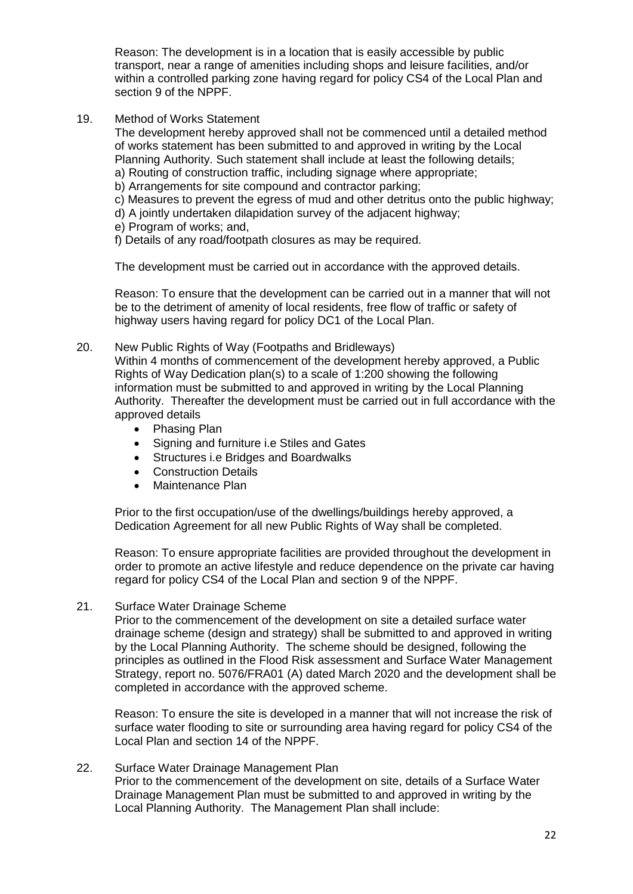Reason: The development is in a location that is easily accessible by public transport, near a range of amenities including shops and leisure facilities, and/or within a controlled parking zone having regard for policy CS4 of the Local Plan and section 9 of the NPPF.

19. Method of Works Statement

The development hereby approved shall not be commenced until a detailed method of works statement has been submitted to and approved in writing by the Local Planning Authority. Such statement shall include at least the following details;

- a) Routing of construction traffic, including signage where appropriate;
- b) Arrangements for site compound and contractor parking;
- c) Measures to prevent the egress of mud and other detritus onto the public highway;
- d) A jointly undertaken dilapidation survey of the adjacent highway;
- e) Program of works; and,

f) Details of any road/footpath closures as may be required.

The development must be carried out in accordance with the approved details.

Reason: To ensure that the development can be carried out in a manner that will not be to the detriment of amenity of local residents, free flow of traffic or safety of highway users having regard for policy DC1 of the Local Plan.

20. New Public Rights of Way (Footpaths and Bridleways)

Within 4 months of commencement of the development hereby approved, a Public Rights of Way Dedication plan(s) to a scale of 1:200 showing the following information must be submitted to and approved in writing by the Local Planning Authority. Thereafter the development must be carried out in full accordance with the approved details

- Phasing Plan
- Signing and furniture i.e Stiles and Gates
- Structures i.e Bridges and Boardwalks
- Construction Details
- Maintenance Plan

Prior to the first occupation/use of the dwellings/buildings hereby approved, a Dedication Agreement for all new Public Rights of Way shall be completed.

Reason: To ensure appropriate facilities are provided throughout the development in order to promote an active lifestyle and reduce dependence on the private car having regard for policy CS4 of the Local Plan and section 9 of the NPPF.

21. Surface Water Drainage Scheme

Prior to the commencement of the development on site a detailed surface water drainage scheme (design and strategy) shall be submitted to and approved in writing by the Local Planning Authority. The scheme should be designed, following the principles as outlined in the Flood Risk assessment and Surface Water Management Strategy, report no. 5076/FRA01 (A) dated March 2020 and the development shall be completed in accordance with the approved scheme.

Reason: To ensure the site is developed in a manner that will not increase the risk of surface water flooding to site or surrounding area having regard for policy CS4 of the Local Plan and section 14 of the NPPF.

#### 22. Surface Water Drainage Management Plan Prior to the commencement of the development on site, details of a Surface Water Drainage Management Plan must be submitted to and approved in writing by the Local Planning Authority. The Management Plan shall include: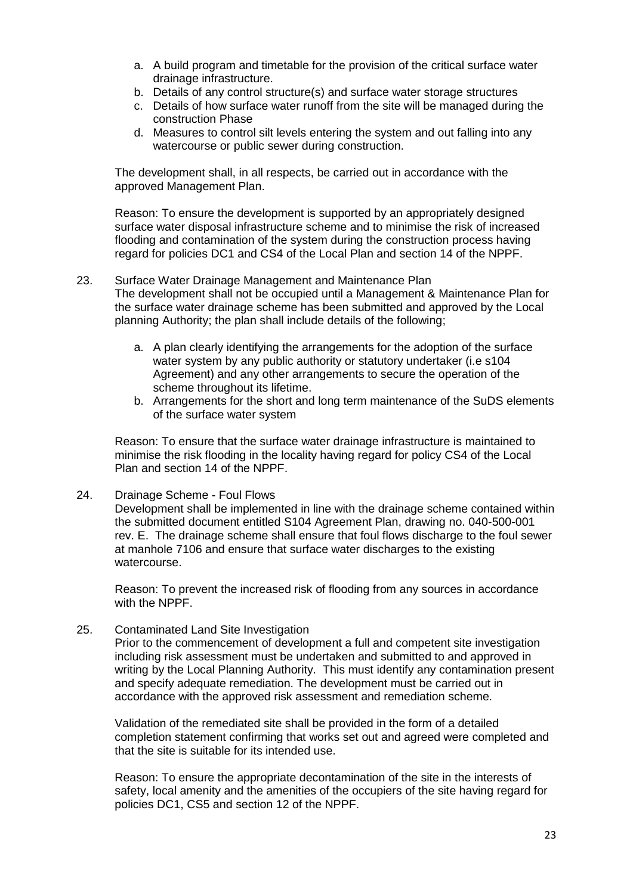- a. A build program and timetable for the provision of the critical surface water drainage infrastructure.
- b. Details of any control structure(s) and surface water storage structures
- c. Details of how surface water runoff from the site will be managed during the construction Phase
- d. Measures to control silt levels entering the system and out falling into any watercourse or public sewer during construction.

The development shall, in all respects, be carried out in accordance with the approved Management Plan.

Reason: To ensure the development is supported by an appropriately designed surface water disposal infrastructure scheme and to minimise the risk of increased flooding and contamination of the system during the construction process having regard for policies DC1 and CS4 of the Local Plan and section 14 of the NPPF.

- 23. Surface Water Drainage Management and Maintenance Plan The development shall not be occupied until a Management & Maintenance Plan for the surface water drainage scheme has been submitted and approved by the Local planning Authority; the plan shall include details of the following;
	- a. A plan clearly identifying the arrangements for the adoption of the surface water system by any public authority or statutory undertaker (i.e s104 Agreement) and any other arrangements to secure the operation of the scheme throughout its lifetime.
	- b. Arrangements for the short and long term maintenance of the SuDS elements of the surface water system

Reason: To ensure that the surface water drainage infrastructure is maintained to minimise the risk flooding in the locality having regard for policy CS4 of the Local Plan and section 14 of the NPPF.

24. Drainage Scheme - Foul Flows

Development shall be implemented in line with the drainage scheme contained within the submitted document entitled S104 Agreement Plan, drawing no. 040-500-001 rev. E. The drainage scheme shall ensure that foul flows discharge to the foul sewer at manhole 7106 and ensure that surface water discharges to the existing watercourse.

Reason: To prevent the increased risk of flooding from any sources in accordance with the NPPF.

25. Contaminated Land Site Investigation

Prior to the commencement of development a full and competent site investigation including risk assessment must be undertaken and submitted to and approved in writing by the Local Planning Authority. This must identify any contamination present and specify adequate remediation. The development must be carried out in accordance with the approved risk assessment and remediation scheme.

Validation of the remediated site shall be provided in the form of a detailed completion statement confirming that works set out and agreed were completed and that the site is suitable for its intended use.

Reason: To ensure the appropriate decontamination of the site in the interests of safety, local amenity and the amenities of the occupiers of the site having regard for policies DC1, CS5 and section 12 of the NPPF.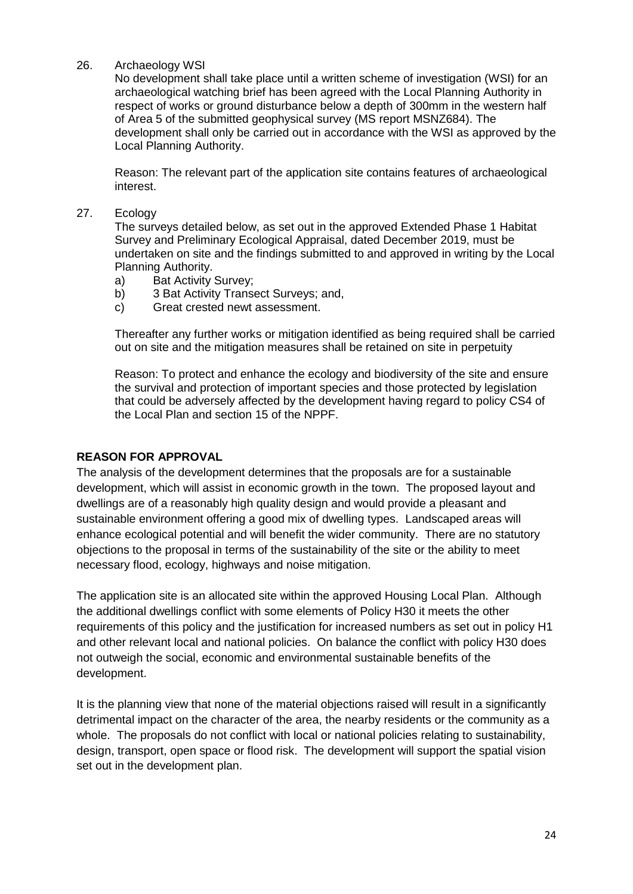# 26. Archaeology WSI

No development shall take place until a written scheme of investigation (WSI) for an archaeological watching brief has been agreed with the Local Planning Authority in respect of works or ground disturbance below a depth of 300mm in the western half of Area 5 of the submitted geophysical survey (MS report MSNZ684). The development shall only be carried out in accordance with the WSI as approved by the Local Planning Authority.

Reason: The relevant part of the application site contains features of archaeological interest.

27. Ecology

The surveys detailed below, as set out in the approved Extended Phase 1 Habitat Survey and Preliminary Ecological Appraisal, dated December 2019, must be undertaken on site and the findings submitted to and approved in writing by the Local Planning Authority.

- a) Bat Activity Survey;
- b) 3 Bat Activity Transect Surveys; and,
- c) Great crested newt assessment.

Thereafter any further works or mitigation identified as being required shall be carried out on site and the mitigation measures shall be retained on site in perpetuity

Reason: To protect and enhance the ecology and biodiversity of the site and ensure the survival and protection of important species and those protected by legislation that could be adversely affected by the development having regard to policy CS4 of the Local Plan and section 15 of the NPPF.

# **REASON FOR APPROVAL**

The analysis of the development determines that the proposals are for a sustainable development, which will assist in economic growth in the town. The proposed layout and dwellings are of a reasonably high quality design and would provide a pleasant and sustainable environment offering a good mix of dwelling types. Landscaped areas will enhance ecological potential and will benefit the wider community. There are no statutory objections to the proposal in terms of the sustainability of the site or the ability to meet necessary flood, ecology, highways and noise mitigation.

The application site is an allocated site within the approved Housing Local Plan. Although the additional dwellings conflict with some elements of Policy H30 it meets the other requirements of this policy and the justification for increased numbers as set out in policy H1 and other relevant local and national policies. On balance the conflict with policy H30 does not outweigh the social, economic and environmental sustainable benefits of the development.

It is the planning view that none of the material objections raised will result in a significantly detrimental impact on the character of the area, the nearby residents or the community as a whole. The proposals do not conflict with local or national policies relating to sustainability, design, transport, open space or flood risk. The development will support the spatial vision set out in the development plan.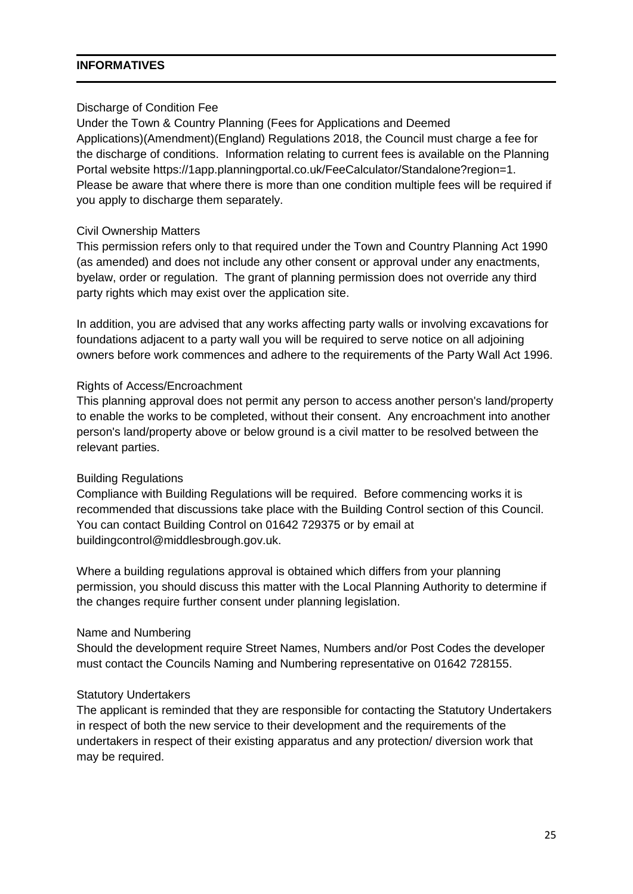# **INFORMATIVES**

## Discharge of Condition Fee

Under the Town & Country Planning (Fees for Applications and Deemed Applications)(Amendment)(England) Regulations 2018, the Council must charge a fee for the discharge of conditions. Information relating to current fees is available on the Planning Portal website https://1app.planningportal.co.uk/FeeCalculator/Standalone?region=1. Please be aware that where there is more than one condition multiple fees will be required if you apply to discharge them separately.

## Civil Ownership Matters

This permission refers only to that required under the Town and Country Planning Act 1990 (as amended) and does not include any other consent or approval under any enactments, byelaw, order or regulation. The grant of planning permission does not override any third party rights which may exist over the application site.

In addition, you are advised that any works affecting party walls or involving excavations for foundations adjacent to a party wall you will be required to serve notice on all adjoining owners before work commences and adhere to the requirements of the Party Wall Act 1996.

## Rights of Access/Encroachment

This planning approval does not permit any person to access another person's land/property to enable the works to be completed, without their consent. Any encroachment into another person's land/property above or below ground is a civil matter to be resolved between the relevant parties.

## Building Regulations

Compliance with Building Regulations will be required. Before commencing works it is recommended that discussions take place with the Building Control section of this Council. You can contact Building Control on 01642 729375 or by email at buildingcontrol@middlesbrough.gov.uk.

Where a building regulations approval is obtained which differs from your planning permission, you should discuss this matter with the Local Planning Authority to determine if the changes require further consent under planning legislation.

## Name and Numbering

Should the development require Street Names, Numbers and/or Post Codes the developer must contact the Councils Naming and Numbering representative on 01642 728155.

## Statutory Undertakers

The applicant is reminded that they are responsible for contacting the Statutory Undertakers in respect of both the new service to their development and the requirements of the undertakers in respect of their existing apparatus and any protection/ diversion work that may be required.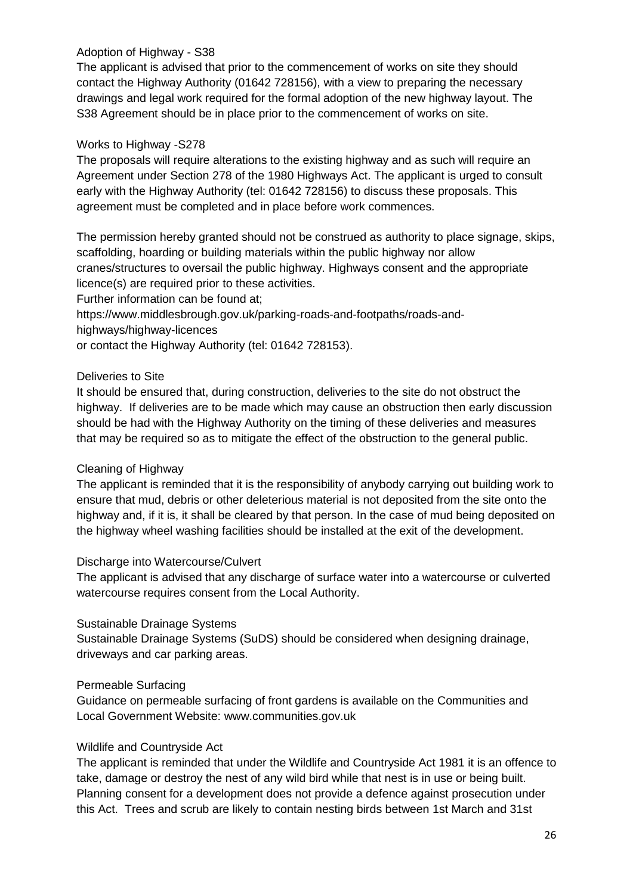# Adoption of Highway - S38

The applicant is advised that prior to the commencement of works on site they should contact the Highway Authority (01642 728156), with a view to preparing the necessary drawings and legal work required for the formal adoption of the new highway layout. The S38 Agreement should be in place prior to the commencement of works on site.

# Works to Highway -S278

The proposals will require alterations to the existing highway and as such will require an Agreement under Section 278 of the 1980 Highways Act. The applicant is urged to consult early with the Highway Authority (tel: 01642 728156) to discuss these proposals. This agreement must be completed and in place before work commences.

The permission hereby granted should not be construed as authority to place signage, skips, scaffolding, hoarding or building materials within the public highway nor allow cranes/structures to oversail the public highway. Highways consent and the appropriate licence(s) are required prior to these activities.

Further information can be found at; https://www.middlesbrough.gov.uk/parking-roads-and-footpaths/roads-andhighways/highway-licences or contact the Highway Authority (tel: 01642 728153).

# Deliveries to Site

It should be ensured that, during construction, deliveries to the site do not obstruct the highway. If deliveries are to be made which may cause an obstruction then early discussion should be had with the Highway Authority on the timing of these deliveries and measures that may be required so as to mitigate the effect of the obstruction to the general public.

# Cleaning of Highway

The applicant is reminded that it is the responsibility of anybody carrying out building work to ensure that mud, debris or other deleterious material is not deposited from the site onto the highway and, if it is, it shall be cleared by that person. In the case of mud being deposited on the highway wheel washing facilities should be installed at the exit of the development.

# Discharge into Watercourse/Culvert

The applicant is advised that any discharge of surface water into a watercourse or culverted watercourse requires consent from the Local Authority.

## Sustainable Drainage Systems

Sustainable Drainage Systems (SuDS) should be considered when designing drainage, driveways and car parking areas.

## Permeable Surfacing

Guidance on permeable surfacing of front gardens is available on the Communities and Local Government Website: www.communities.gov.uk

## Wildlife and Countryside Act

The applicant is reminded that under the Wildlife and Countryside Act 1981 it is an offence to take, damage or destroy the nest of any wild bird while that nest is in use or being built. Planning consent for a development does not provide a defence against prosecution under this Act. Trees and scrub are likely to contain nesting birds between 1st March and 31st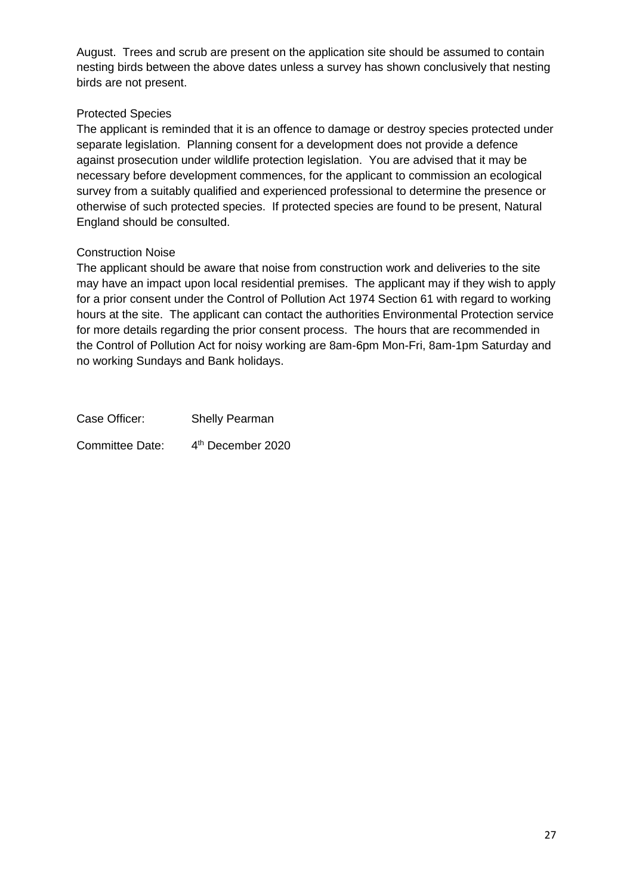August. Trees and scrub are present on the application site should be assumed to contain nesting birds between the above dates unless a survey has shown conclusively that nesting birds are not present.

# Protected Species

The applicant is reminded that it is an offence to damage or destroy species protected under separate legislation. Planning consent for a development does not provide a defence against prosecution under wildlife protection legislation. You are advised that it may be necessary before development commences, for the applicant to commission an ecological survey from a suitably qualified and experienced professional to determine the presence or otherwise of such protected species. If protected species are found to be present, Natural England should be consulted.

# Construction Noise

The applicant should be aware that noise from construction work and deliveries to the site may have an impact upon local residential premises. The applicant may if they wish to apply for a prior consent under the Control of Pollution Act 1974 Section 61 with regard to working hours at the site. The applicant can contact the authorities Environmental Protection service for more details regarding the prior consent process. The hours that are recommended in the Control of Pollution Act for noisy working are 8am-6pm Mon-Fri, 8am-1pm Saturday and no working Sundays and Bank holidays.

Case Officer: Shelly Pearman Committee Date: 4<sup>th</sup> December 2020